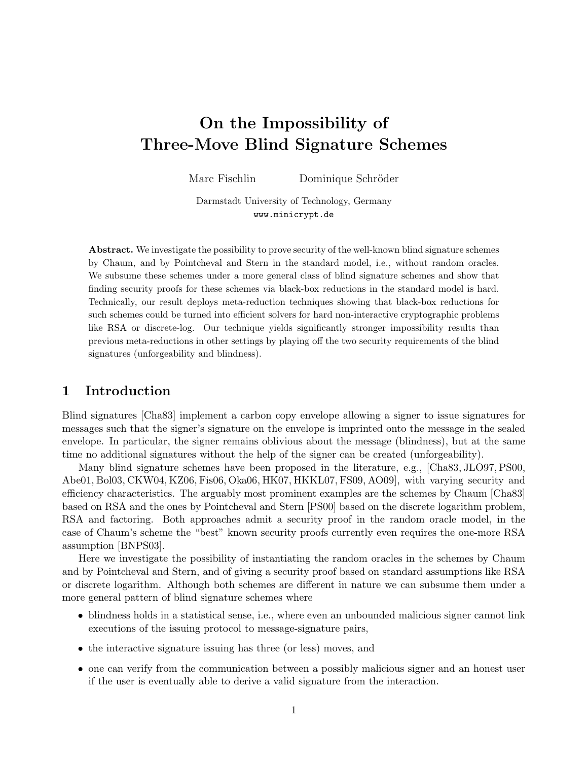# On the Impossibility of Three-Move Blind Signature Schemes

Marc Fischlin Dominique Schröder

Darmstadt University of Technology, Germany www.minicrypt.de

Abstract. We investigate the possibility to prove security of the well-known blind signature schemes by Chaum, and by Pointcheval and Stern in the standard model, i.e., without random oracles. We subsume these schemes under a more general class of blind signature schemes and show that finding security proofs for these schemes via black-box reductions in the standard model is hard. Technically, our result deploys meta-reduction techniques showing that black-box reductions for such schemes could be turned into efficient solvers for hard non-interactive cryptographic problems like RSA or discrete-log. Our technique yields significantly stronger impossibility results than previous meta-reductions in other settings by playing off the two security requirements of the blind signatures (unforgeability and blindness).

## 1 Introduction

Blind signatures [Cha83] implement a carbon copy envelope allowing a signer to issue signatures for messages such that the signer's signature on the envelope is imprinted onto the message in the sealed envelope. In particular, the signer remains oblivious about the message (blindness), but at the same time no additional signatures without the help of the signer can be created (unforgeability).

Many blind signature schemes have been proposed in the literature, e.g., [Cha83, JLO97, PS00, Abe01, Bol03, CKW04, KZ06, Fis06, Oka06, HK07, HKKL07, FS09, AO09], with varying security and efficiency characteristics. The arguably most prominent examples are the schemes by Chaum [Cha83] based on RSA and the ones by Pointcheval and Stern [PS00] based on the discrete logarithm problem, RSA and factoring. Both approaches admit a security proof in the random oracle model, in the case of Chaum's scheme the "best" known security proofs currently even requires the one-more RSA assumption [BNPS03].

Here we investigate the possibility of instantiating the random oracles in the schemes by Chaum and by Pointcheval and Stern, and of giving a security proof based on standard assumptions like RSA or discrete logarithm. Although both schemes are different in nature we can subsume them under a more general pattern of blind signature schemes where

- blindness holds in a statistical sense, i.e., where even an unbounded malicious signer cannot link executions of the issuing protocol to message-signature pairs,
- the interactive signature issuing has three (or less) moves, and
- one can verify from the communication between a possibly malicious signer and an honest user if the user is eventually able to derive a valid signature from the interaction.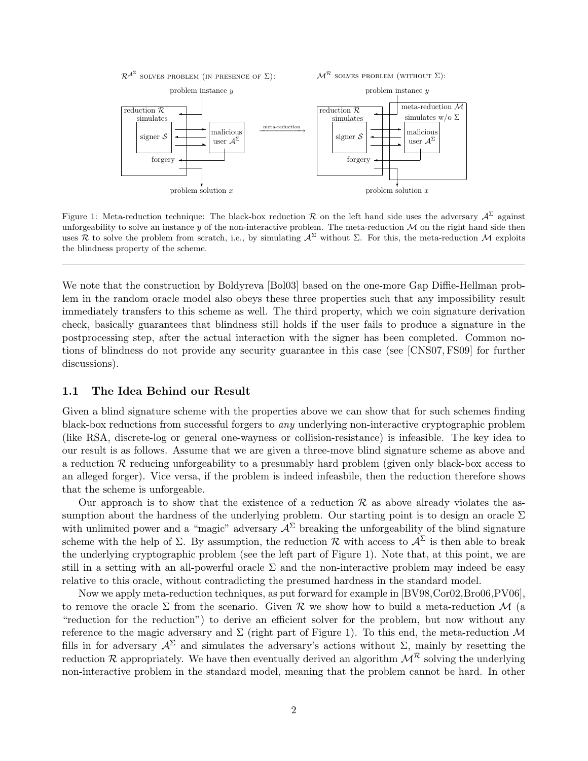

Figure 1: Meta-reduction technique: The black-box reduction  $\mathcal R$  on the left hand side uses the adversary  $\mathcal{A}^{\Sigma}$  against unforgeability to solve an instance y of the non-interactive problem. The meta-reduction  $\mathcal M$  on the right hand side then uses R to solve the problem from scratch, i.e., by simulating  $\mathcal{A}^{\Sigma}$  without  $\Sigma$ . For this, the meta-reduction M exploits the blindness property of the scheme.

We note that the construction by Boldyreva [Bol03] based on the one-more Gap Diffie-Hellman problem in the random oracle model also obeys these three properties such that any impossibility result immediately transfers to this scheme as well. The third property, which we coin signature derivation check, basically guarantees that blindness still holds if the user fails to produce a signature in the postprocessing step, after the actual interaction with the signer has been completed. Common notions of blindness do not provide any security guarantee in this case (see [CNS07, FS09] for further discussions).

#### 1.1 The Idea Behind our Result

Given a blind signature scheme with the properties above we can show that for such schemes finding black-box reductions from successful forgers to any underlying non-interactive cryptographic problem (like RSA, discrete-log or general one-wayness or collision-resistance) is infeasible. The key idea to our result is as follows. Assume that we are given a three-move blind signature scheme as above and a reduction  $\mathcal R$  reducing unforgeability to a presumably hard problem (given only black-box access to an alleged forger). Vice versa, if the problem is indeed infeasbile, then the reduction therefore shows that the scheme is unforgeable.

Our approach is to show that the existence of a reduction  $\mathcal R$  as above already violates the assumption about the hardness of the underlying problem. Our starting point is to design an oracle  $\Sigma$ with unlimited power and a "magic" adversary  $\mathcal{A}^{\Sigma}$  breaking the unforgeability of the blind signature scheme with the help of  $\Sigma$ . By assumption, the reduction  $\mathcal R$  with access to  $\mathcal A^{\Sigma}$  is then able to break the underlying cryptographic problem (see the left part of Figure 1). Note that, at this point, we are still in a setting with an all-powerful oracle  $\Sigma$  and the non-interactive problem may indeed be easy relative to this oracle, without contradicting the presumed hardness in the standard model.

Now we apply meta-reduction techniques, as put forward for example in [BV98,Cor02,Bro06,PV06], to remove the oracle  $\Sigma$  from the scenario. Given R we show how to build a meta-reduction M (a "reduction for the reduction") to derive an efficient solver for the problem, but now without any reference to the magic adversary and  $\Sigma$  (right part of Figure 1). To this end, the meta-reduction M fills in for adversary  $\mathcal{A}^{\Sigma}$  and simulates the adversary's actions without  $\Sigma$ , mainly by resetting the reduction R appropriately. We have then eventually derived an algorithm  $\mathcal{M}^{\mathcal{R}}$  solving the underlying non-interactive problem in the standard model, meaning that the problem cannot be hard. In other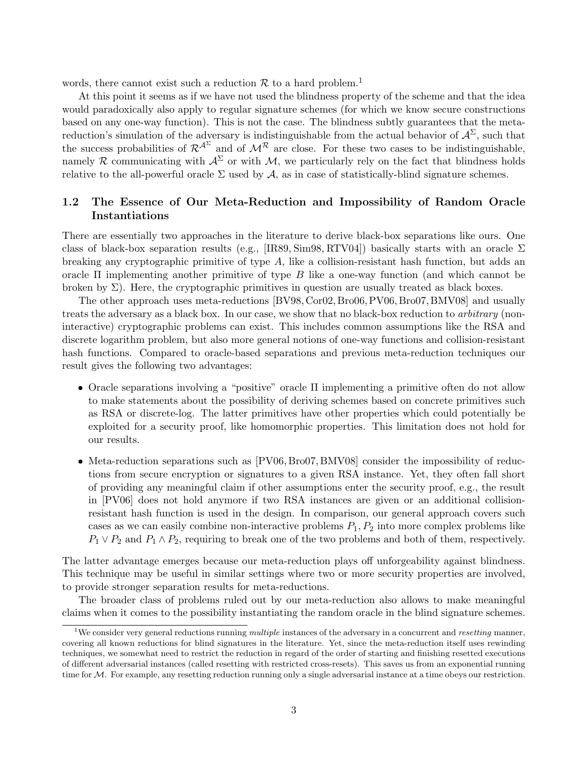words, there cannot exist such a reduction  $\mathcal R$  to a hard problem.<sup>1</sup>

At this point it seems as if we have not used the blindness property of the scheme and that the idea would paradoxically also apply to regular signature schemes (for which we know secure constructions based on any one-way function). This is not the case. The blindness subtly guarantees that the metareduction's simulation of the adversary is indistinguishable from the actual behavior of  $\mathcal{A}^{\Sigma}$ , such that the success probabilities of  $\mathcal{R}^{\mathcal{A}^{\Sigma}}$  and of  $\mathcal{M}^{\mathcal{R}}$  are close. For these two cases to be indistinguishable, namely R communicating with  $A^{\Sigma}$  or with M, we particularly rely on the fact that blindness holds relative to the all-powerful oracle  $\Sigma$  used by  $\mathcal{A}$ , as in case of statistically-blind signature schemes.

#### 1.2 The Essence of Our Meta-Reduction and Impossibility of Random Oracle Instantiations

There are essentially two approaches in the literature to derive black-box separations like ours. One class of black-box separation results (e.g., [IR89, Sim98, RTV04]) basically starts with an oracle  $\Sigma$ breaking any cryptographic primitive of type A, like a collision-resistant hash function, but adds an oracle  $\Pi$  implementing another primitive of type  $B$  like a one-way function (and which cannot be broken by  $\Sigma$ ). Here, the cryptographic primitives in question are usually treated as black boxes.

The other approach uses meta-reductions [BV98, Cor02, Bro06, PV06, Bro07, BMV08] and usually treats the adversary as a black box. In our case, we show that no black-box reduction to *arbitrary* (noninteractive) cryptographic problems can exist. This includes common assumptions like the RSA and discrete logarithm problem, but also more general notions of one-way functions and collision-resistant hash functions. Compared to oracle-based separations and previous meta-reduction techniques our result gives the following two advantages:

- Oracle separations involving a "positive" oracle Π implementing a primitive often do not allow to make statements about the possibility of deriving schemes based on concrete primitives such as RSA or discrete-log. The latter primitives have other properties which could potentially be exploited for a security proof, like homomorphic properties. This limitation does not hold for our results.
- Meta-reduction separations such as  $[PV06, Bro07, BMV08]$  consider the impossibility of reductions from secure encryption or signatures to a given RSA instance. Yet, they often fall short of providing any meaningful claim if other assumptions enter the security proof, e.g., the result in [PV06] does not hold anymore if two RSA instances are given or an additional collisionresistant hash function is used in the design. In comparison, our general approach covers such cases as we can easily combine non-interactive problems  $P_1, P_2$  into more complex problems like  $P_1 \vee P_2$  and  $P_1 \wedge P_2$ , requiring to break one of the two problems and both of them, respectively.

The latter advantage emerges because our meta-reduction plays off unforgeability against blindness. This technique may be useful in similar settings where two or more security properties are involved, to provide stronger separation results for meta-reductions.

The broader class of problems ruled out by our meta-reduction also allows to make meaningful claims when it comes to the possibility instantiating the random oracle in the blind signature schemes.

<sup>&</sup>lt;sup>1</sup>We consider very general reductions running *multiple* instances of the adversary in a concurrent and *resetting* manner, covering all known reductions for blind signatures in the literature. Yet, since the meta-reduction itself uses rewinding techniques, we somewhat need to restrict the reduction in regard of the order of starting and finishing resetted executions of different adversarial instances (called resetting with restricted cross-resets). This saves us from an exponential running time for  $M$ . For example, any resetting reduction running only a single adversarial instance at a time obeys our restriction.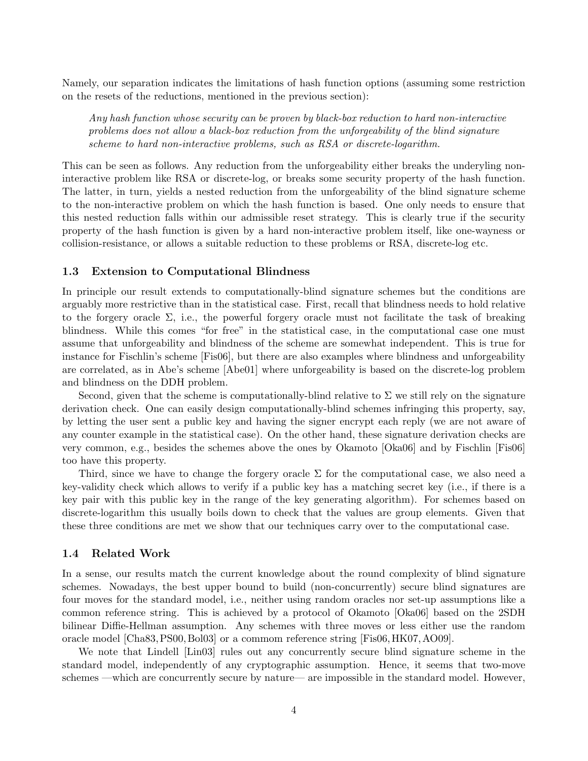Namely, our separation indicates the limitations of hash function options (assuming some restriction on the resets of the reductions, mentioned in the previous section):

Any hash function whose security can be proven by black-box reduction to hard non-interactive problems does not allow a black-box reduction from the unforgeability of the blind signature scheme to hard non-interactive problems, such as RSA or discrete-logarithm.

This can be seen as follows. Any reduction from the unforgeability either breaks the underyling noninteractive problem like RSA or discrete-log, or breaks some security property of the hash function. The latter, in turn, yields a nested reduction from the unforgeability of the blind signature scheme to the non-interactive problem on which the hash function is based. One only needs to ensure that this nested reduction falls within our admissible reset strategy. This is clearly true if the security property of the hash function is given by a hard non-interactive problem itself, like one-wayness or collision-resistance, or allows a suitable reduction to these problems or RSA, discrete-log etc.

#### 1.3 Extension to Computational Blindness

In principle our result extends to computationally-blind signature schemes but the conditions are arguably more restrictive than in the statistical case. First, recall that blindness needs to hold relative to the forgery oracle  $\Sigma$ , i.e., the powerful forgery oracle must not facilitate the task of breaking blindness. While this comes "for free" in the statistical case, in the computational case one must assume that unforgeability and blindness of the scheme are somewhat independent. This is true for instance for Fischlin's scheme [Fis06], but there are also examples where blindness and unforgeability are correlated, as in Abe's scheme [Abe01] where unforgeability is based on the discrete-log problem and blindness on the DDH problem.

Second, given that the scheme is computationally-blind relative to  $\Sigma$  we still rely on the signature derivation check. One can easily design computationally-blind schemes infringing this property, say, by letting the user sent a public key and having the signer encrypt each reply (we are not aware of any counter example in the statistical case). On the other hand, these signature derivation checks are very common, e.g., besides the schemes above the ones by Okamoto [Oka06] and by Fischlin [Fis06] too have this property.

Third, since we have to change the forgery oracle  $\Sigma$  for the computational case, we also need a key-validity check which allows to verify if a public key has a matching secret key (i.e., if there is a key pair with this public key in the range of the key generating algorithm). For schemes based on discrete-logarithm this usually boils down to check that the values are group elements. Given that these three conditions are met we show that our techniques carry over to the computational case.

#### 1.4 Related Work

In a sense, our results match the current knowledge about the round complexity of blind signature schemes. Nowadays, the best upper bound to build (non-concurrently) secure blind signatures are four moves for the standard model, i.e., neither using random oracles nor set-up assumptions like a common reference string. This is achieved by a protocol of Okamoto [Oka06] based on the 2SDH bilinear Diffie-Hellman assumption. Any schemes with three moves or less either use the random oracle model [Cha83,PS00, Bol03] or a commom reference string [Fis06, HK07, AO09].

We note that Lindell [Lin03] rules out any concurrently secure blind signature scheme in the standard model, independently of any cryptographic assumption. Hence, it seems that two-move schemes —which are concurrently secure by nature— are impossible in the standard model. However,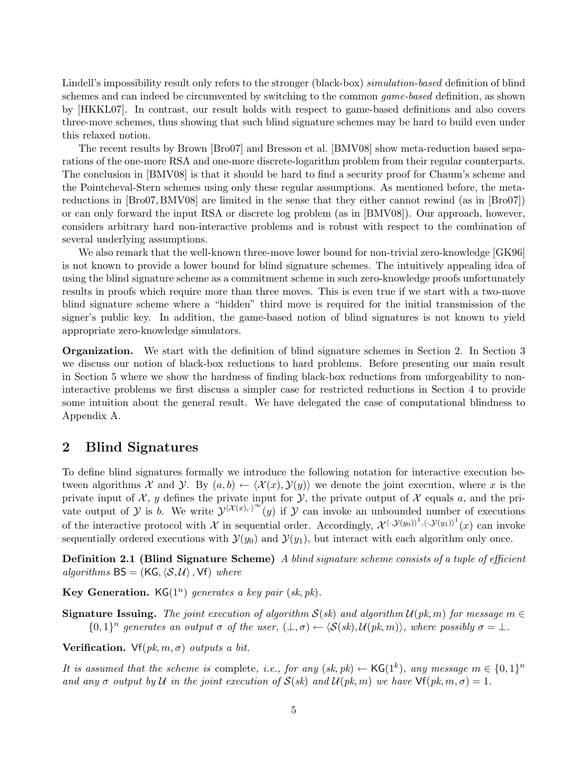Lindell's impossibility result only refers to the stronger (black-box) *simulation-based* definition of blind schemes and can indeed be circumvented by switching to the common *game-based* definition, as shown by [HKKL07]. In contrast, our result holds with respect to game-based definitions and also covers three-move schemes, thus showing that such blind signature schemes may be hard to build even under this relaxed notion.

The recent results by Brown [Bro07] and Bresson et al. [BMV08] show meta-reduction based separations of the one-more RSA and one-more discrete-logarithm problem from their regular counterparts. The conclusion in [BMV08] is that it should be hard to find a security proof for Chaum's scheme and the Pointcheval-Stern schemes using only these regular assumptions. As mentioned before, the metareductions in [Bro07, BMV08] are limited in the sense that they either cannot rewind (as in [Bro07]) or can only forward the input RSA or discrete log problem (as in [BMV08]). Our approach, however, considers arbitrary hard non-interactive problems and is robust with respect to the combination of several underlying assumptions.

We also remark that the well-known three-move lower bound for non-trivial zero-knowledge [GK96] is not known to provide a lower bound for blind signature schemes. The intuitively appealing idea of using the blind signature scheme as a commitment scheme in such zero-knowledge proofs unfortunately results in proofs which require more than three moves. This is even true if we start with a two-move blind signature scheme where a "hidden" third move is required for the initial transmission of the signer's public key. In addition, the game-based notion of blind signatures is not known to yield appropriate zero-knowledge simulators.

Organization. We start with the definition of blind signature schemes in Section 2. In Section 3 we discuss our notion of black-box reductions to hard problems. Before presenting our main result in Section 5 where we show the hardness of finding black-box reductions from unforgeability to noninteractive problems we first discuss a simpler case for restricted reductions in Section 4 to provide some intuition about the general result. We have delegated the case of computational blindness to Appendix A.

## 2 Blind Signatures

To define blind signatures formally we introduce the following notation for interactive execution between algorithms X and Y. By  $(a, b) \leftarrow \langle \mathcal{X}(x), \mathcal{Y}(y) \rangle$  we denote the joint execution, where x is the private input of  $\mathcal{X}, y$  defines the private input for  $\mathcal{Y},$  the private output of  $\mathcal{X}$  equals a, and the private output of  $\mathcal Y$  is b. We write  $\mathcal Y^{(\mathcal X(x),\cdot)^\infty}(y)$  if  $\mathcal Y$  can invoke an unbounded number of executions of the interactive protocol with X in sequential order. Accordingly,  $\mathcal{X}^{(\cdot,\mathcal{Y}(y_0))}$ ,  $(\cdot,\mathcal{Y}(y_1))$ ,  $(x)$  can invoke sequentially ordered executions with  $\mathcal{Y}(y_0)$  and  $\mathcal{Y}(y_1)$ , but interact with each algorithm only once.

**Definition 2.1 (Blind Signature Scheme)** A blind signature scheme consists of a tuple of efficient algorithms  $BS = (KG, \langle S, \mathcal{U} \rangle, Vf)$  where

Key Generation.  $KG(1^n)$  generates a key pair  $(sk, pk)$ .

**Signature Issuing.** The joint execution of algorithm  $S(sk)$  and algorithm  $\mathcal{U}(pk, m)$  for message  $m \in$  $\{0,1\}^n$  generates an output  $\sigma$  of the user,  $(\bot,\sigma) \leftarrow \langle \mathcal{S}(sk), \mathcal{U}(pk,m) \rangle$ , where possibly  $\sigma = \bot$ .

Verification. Vf $(pk, m, \sigma)$  outputs a bit.

It is assumed that the scheme is complete, i.e., for any  $(sk, pk) \leftarrow {\sf KG}(1^k)$ , any message  $m \in \{0, 1\}^n$ and any  $\sigma$  output by U in the joint execution of  $\mathcal{S}(sk)$  and  $\mathcal{U}(pk,m)$  we have  $\mathsf{Vf}(pk,m,\sigma) = 1$ .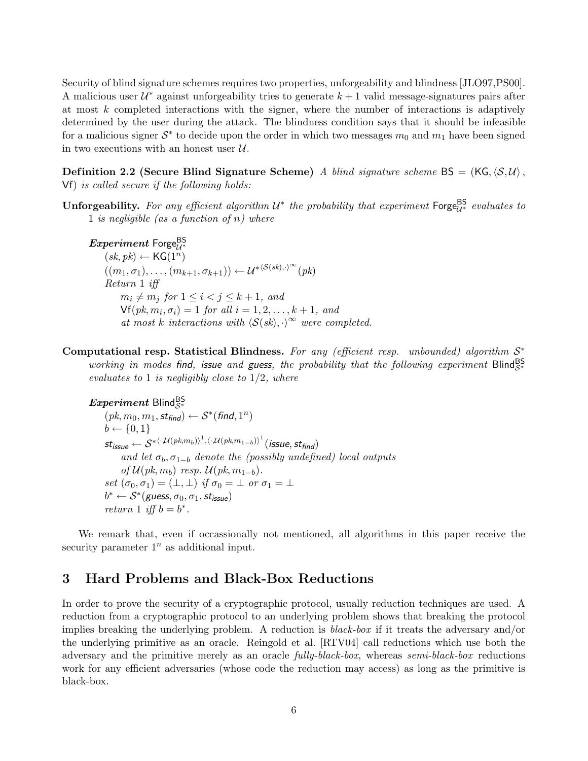Security of blind signature schemes requires two properties, unforgeability and blindness [JLO97,PS00]. A malicious user  $\mathcal{U}^*$  against unforgeability tries to generate  $k+1$  valid message-signatures pairs after at most  $k$  completed interactions with the signer, where the number of interactions is adaptively determined by the user during the attack. The blindness condition says that it should be infeasible for a malicious signer  $\mathcal{S}^*$  to decide upon the order in which two messages  $m_0$  and  $m_1$  have been signed in two executions with an honest user  $\mathcal{U}$ .

**Definition 2.2 (Secure Blind Signature Scheme)** A blind signature scheme BS =  $(KG,\langle \mathcal{S}, \mathcal{U} \rangle)$ , Vf) is called secure if the following holds:

**Unforgeability.** For any efficient algorithm  $U^*$  the probability that experiment Forge<sup>BS</sup> evaluates to 1 is negligible (as a function of  $n)$ ) where

 $Experiment$  Forge $_{\mathcal{U}^*}^{\text{BS}}$  $(sk, pk) \leftarrow {\sf KG}(1^n)$  $((m_1,\sigma_1),\ldots,(m_{k+1},\sigma_{k+1})) \leftarrow \mathcal{U}^{*(\mathcal{S}(sk),\cdot)^\infty}(pk)$ Return 1 iff  $m_i \neq m_j$  for  $1 \leq i < j \leq k+1$ , and  $\mathsf{Vf}(pk, m_i, \sigma_i) = 1$  for all  $i = 1, 2, \ldots, k + 1$ , and at most k interactions with  $\langle S(sk), \cdot \rangle^{\infty}$  were completed.

Computational resp. Statistical Blindness. For any (efficient resp. unbounded) algorithm  $S^*$ working in modes find, issue and guess, the probability that the following experiment Blind $g^{\text{BS}}$ evaluates to 1 is negligibly close to  $1/2$ , where

Experiment Blind $_{\mathcal{S}^*}^{\text{BS}}$  $(pk, m_0, m_1, st_{find}) \leftarrow S^*(find, 1^n)$  $b \leftarrow \{0, 1\}$  $\mathsf{st}_{\mathsf{issue}} \leftarrow \mathcal{S}^{*\langle\cdot,\mathcal{U}(pk,m_b)\rangle^1,\langle\cdot,\mathcal{U}(pk,m_{1-b})\rangle^1}(\mathsf{issue},\mathsf{st}_{\mathsf{find}})$ and let  $\sigma_b$ ,  $\sigma_{1-b}$  denote the (possibly undefined) local outputs of  $\mathcal{U}(pk, m_b)$  resp.  $\mathcal{U}(pk, m_{1-b})$ . set  $(\sigma_0, \sigma_1) = (\perp, \perp)$  if  $\sigma_0 = \perp$  or  $\sigma_1 = \perp$  $b^* \leftarrow \mathcal{S}^*(\textit{guess}, \sigma_0, \sigma_1, \textit{st}_\textsf{issue})$ return 1 iff  $b = b^*$ .

We remark that, even if occassionally not mentioned, all algorithms in this paper receive the security parameter  $1^n$  as additional input.

## 3 Hard Problems and Black-Box Reductions

In order to prove the security of a cryptographic protocol, usually reduction techniques are used. A reduction from a cryptographic protocol to an underlying problem shows that breaking the protocol implies breaking the underlying problem. A reduction is  $black-box$  if it treats the adversary and/or the underlying primitive as an oracle. Reingold et al. [RTV04] call reductions which use both the adversary and the primitive merely as an oracle *fully-black-box*, whereas *semi-black-box* reductions work for any efficient adversaries (whose code the reduction may access) as long as the primitive is black-box.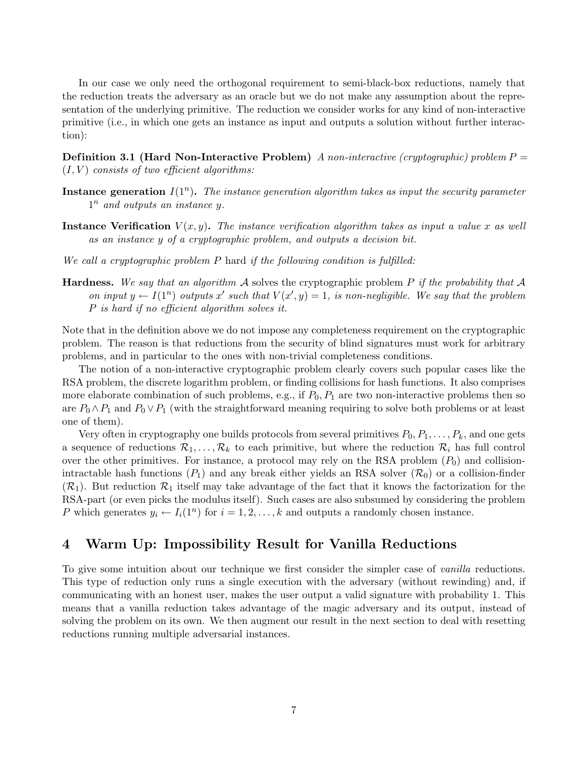In our case we only need the orthogonal requirement to semi-black-box reductions, namely that the reduction treats the adversary as an oracle but we do not make any assumption about the representation of the underlying primitive. The reduction we consider works for any kind of non-interactive primitive (i.e., in which one gets an instance as input and outputs a solution without further interaction):

- **Definition 3.1 (Hard Non-Interactive Problem)** A non-interactive (cryptographic) problem  $P =$  $(I, V)$  consists of two efficient algorithms:
- **Instance generation**  $I(1^n)$ . The instance generation algorithm takes as input the security parameter  $1^n$  and outputs an instance y.
- **Instance Verification**  $V(x, y)$ . The instance verification algorithm takes as input a value x as well as an instance y of a cryptographic problem, and outputs a decision bit.
- We call a cryptographic problem  $P$  hard if the following condition is fulfilled:
- **Hardness.** We say that an algorithm A solves the cryptographic problem P if the probability that A on input  $y \leftarrow I(1^n)$  outputs x' such that  $V(x', y) = 1$ , is non-negligible. We say that the problem P is hard if no efficient algorithm solves it.

Note that in the definition above we do not impose any completeness requirement on the cryptographic problem. The reason is that reductions from the security of blind signatures must work for arbitrary problems, and in particular to the ones with non-trivial completeness conditions.

The notion of a non-interactive cryptographic problem clearly covers such popular cases like the RSA problem, the discrete logarithm problem, or finding collisions for hash functions. It also comprises more elaborate combination of such problems, e.g., if  $P_0$ ,  $P_1$  are two non-interactive problems then so are  $P_0 \wedge P_1$  and  $P_0 \vee P_1$  (with the straightforward meaning requiring to solve both problems or at least one of them).

Very often in cryptography one builds protocols from several primitives  $P_0, P_1, \ldots, P_k$ , and one gets a sequence of reductions  $\mathcal{R}_1, \ldots, \mathcal{R}_k$  to each primitive, but where the reduction  $\mathcal{R}_i$  has full control over the other primitives. For instance, a protocol may rely on the RSA problem  $(P_0)$  and collisionintractable hash functions  $(P_1)$  and any break either yields an RSA solver  $(\mathcal{R}_0)$  or a collision-finder  $(\mathcal{R}_1)$ . But reduction  $\mathcal{R}_1$  itself may take advantage of the fact that it knows the factorization for the RSA-part (or even picks the modulus itself). Such cases are also subsumed by considering the problem P which generates  $y_i \leftarrow I_i(1^n)$  for  $i = 1, 2, ..., k$  and outputs a randomly chosen instance.

## 4 Warm Up: Impossibility Result for Vanilla Reductions

To give some intuition about our technique we first consider the simpler case of vanilla reductions. This type of reduction only runs a single execution with the adversary (without rewinding) and, if communicating with an honest user, makes the user output a valid signature with probability 1. This means that a vanilla reduction takes advantage of the magic adversary and its output, instead of solving the problem on its own. We then augment our result in the next section to deal with resetting reductions running multiple adversarial instances.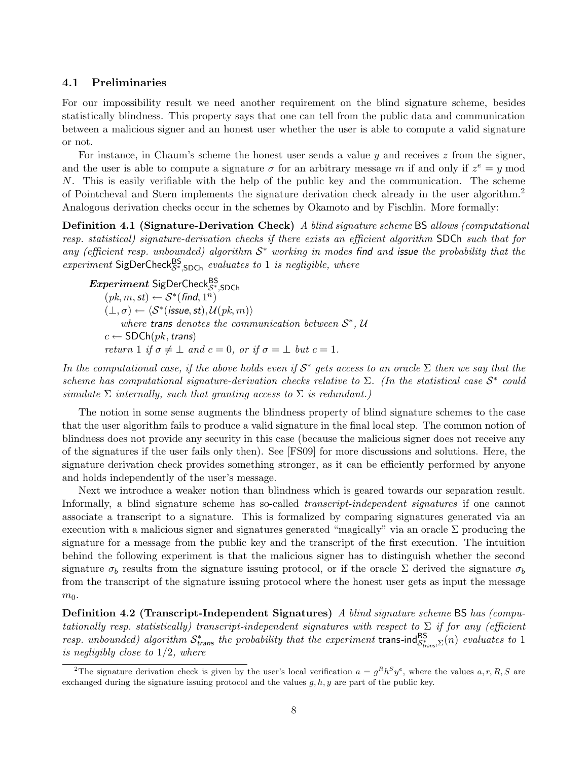#### 4.1 Preliminaries

For our impossibility result we need another requirement on the blind signature scheme, besides statistically blindness. This property says that one can tell from the public data and communication between a malicious signer and an honest user whether the user is able to compute a valid signature or not.

For instance, in Chaum's scheme the honest user sends a value  $y$  and receives  $z$  from the signer, and the user is able to compute a signature  $\sigma$  for an arbitrary message m if and only if  $z^e = y$  mod N. This is easily verifiable with the help of the public key and the communication. The scheme of Pointcheval and Stern implements the signature derivation check already in the user algorithm.<sup>2</sup> Analogous derivation checks occur in the schemes by Okamoto and by Fischlin. More formally:

**Definition 4.1 (Signature-Derivation Check)** A blind signature scheme BS allows (computational resp. statistical) signature-derivation checks if there exists an efficient algorithm SDCh such that for any (efficient resp. unbounded) algorithm  $S^*$  working in modes find and issue the probability that the experiment SigDerCheck<sup>BS</sup><sub>S</sub>SDCh</sub> evaluates to 1 is negligible, where

 $Experiment$  SigDerCheck $^{BS}_{\mathcal{S}^*,\mathsf{SDCh}}(pk,m,\mathsf{st}) \leftarrow \mathcal{S}^*(find,1^n)$  $(\bot, \sigma) \leftarrow \langle \mathcal{S}^*(\text{issue}, \text{st}), \mathcal{U}(pk, m) \rangle$ where trans denotes the communication between  $S^*$ , U  $c \leftarrow \text{SDCh}(pk, trans)$ return 1 if  $\sigma \neq \bot$  and  $c = 0$ , or if  $\sigma = \bot$  but  $c = 1$ .

In the computational case, if the above holds even if  $S^*$  gets access to an oracle  $\Sigma$  then we say that the scheme has computational signature-derivation checks relative to  $\Sigma$ . (In the statistical case  $S^*$  could simulate  $\Sigma$  internally, such that granting access to  $\Sigma$  is redundant.)

The notion in some sense augments the blindness property of blind signature schemes to the case that the user algorithm fails to produce a valid signature in the final local step. The common notion of blindness does not provide any security in this case (because the malicious signer does not receive any of the signatures if the user fails only then). See [FS09] for more discussions and solutions. Here, the signature derivation check provides something stronger, as it can be efficiently performed by anyone and holds independently of the user's message.

Next we introduce a weaker notion than blindness which is geared towards our separation result. Informally, a blind signature scheme has so-called transcript-independent signatures if one cannot associate a transcript to a signature. This is formalized by comparing signatures generated via an execution with a malicious signer and signatures generated "magically" via an oracle  $\Sigma$  producing the signature for a message from the public key and the transcript of the first execution. The intuition behind the following experiment is that the malicious signer has to distinguish whether the second signature  $\sigma_b$  results from the signature issuing protocol, or if the oracle  $\Sigma$  derived the signature  $\sigma_b$ from the transcript of the signature issuing protocol where the honest user gets as input the message  $m_0$ .

**Definition 4.2 (Transcript-Independent Signatures)** A blind signature scheme BS has (computationally resp. statistically) transcript-independent signatures with respect to  $\Sigma$  if for any (efficient resp. unbounded) algorithm  $S_{trans}^*$  the probability that the experiment trans-ind $S_{trans}^{BS}$ ,  $\sum(n)$  evaluates to 1 is negligibly close to 1/2, where

<sup>&</sup>lt;sup>2</sup>The signature derivation check is given by the user's local verification  $a = g^R h^S y^e$ , where the values  $a, r, R, S$  are exchanged during the signature issuing protocol and the values  $g, h, y$  are part of the public key.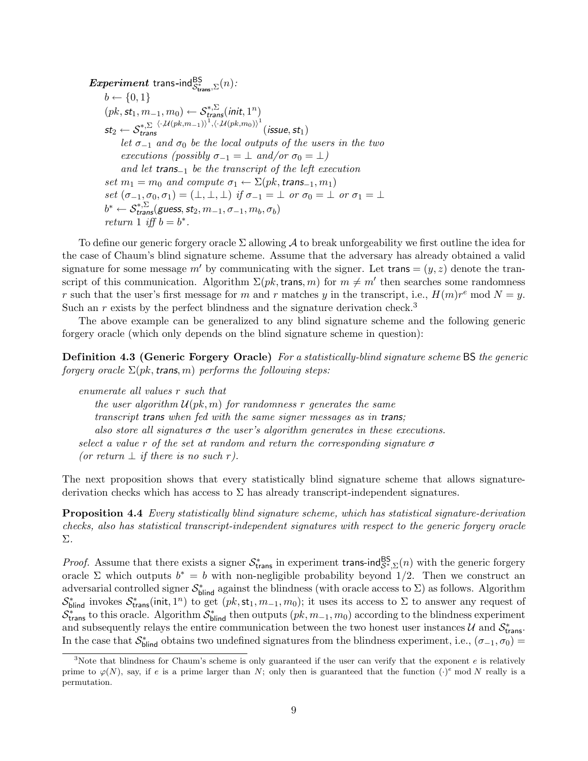## $Experiment$  trans-ind $^{BS}_{\mathcal{S}^*_{\text{trans}},\Sigma}(n)$ :

$$
b \leftarrow \{0, 1\}
$$
  
\n
$$
(pk, st_1, m_{-1}, m_0) \leftarrow S_{trans}^{*,\Sigma} (init, 1^n)
$$
  
\n
$$
st_2 \leftarrow S_{trans}^{*,\Sigma} \langle \cdot \mathcal{U}(pk, m_{-1}) \rangle^1, \langle \cdot \mathcal{U}(pk, m_0) \rangle^1
$$
  
\n
$$
let \sigma_{-1} and \sigma_0 be the local outputs of the users in the two\nexcutions (possibly  $\sigma_{-1} = \bot$  and/or  $\sigma_0 = \bot$ )  
\nand let  $trans_{-1}$  be the transcript of the left execution  
\nset  $m_1 = m_0$  and compute  $\sigma_1 \leftarrow \Sigma(pk, trans_{-1}, m_1)$   
\nset  $(\sigma_{-1}, \sigma_0, \sigma_1) = (\bot, \bot, \bot)$  if  $\sigma_{-1} = \bot$  or  $\sigma_0 = \bot$  or  $\sigma_1 = \bot$   
\n $b^* \leftarrow S_{trans}^{*,\Sigma}(guess, st_2, m_{-1}, \sigma_{-1}, m_b, \sigma_b)$   
\nreturn 1 iff  $b = b^*$ .
$$

To define our generic forgery oracle  $\Sigma$  allowing A to break unforgeability we first outline the idea for the case of Chaum's blind signature scheme. Assume that the adversary has already obtained a valid signature for some message m' by communicating with the signer. Let trans  $=(y, z)$  denote the transcript of this communication. Algorithm  $\Sigma(pk, trans, m)$  for  $m \neq m'$  then searches some randomness r such that the user's first message for m and r matches y in the transcript, i.e.,  $H(m)r^e \text{ mod } N = y$ . Such an r exists by the perfect blindness and the signature derivation check.<sup>3</sup>

The above example can be generalized to any blind signature scheme and the following generic forgery oracle (which only depends on the blind signature scheme in question):

Definition 4.3 (Generic Forgery Oracle) For a statistically-blind signature scheme BS the generic forgery oracle  $\Sigma(pk, trans, m)$  performs the following steps:

enumerate all values r such that the user algorithm  $\mathcal{U}(pk,m)$  for randomness r generates the same transcript trans when fed with the same signer messages as in trans; also store all signatures  $\sigma$  the user's algorithm generates in these executions. select a value r of the set at random and return the corresponding signature  $\sigma$ (or return  $\perp$  if there is no such r).

The next proposition shows that every statistically blind signature scheme that allows signaturederivation checks which has access to  $\Sigma$  has already transcript-independent signatures.

Proposition 4.4 Every statistically blind signature scheme, which has statistical signature-derivation checks, also has statistical transcript-independent signatures with respect to the generic forgery oracle Σ.

*Proof.* Assume that there exists a signer  $S_{trans}^*$  in experiment trans-ind $S_{*,\Sigma}^*(n)$  with the generic forgery oracle  $\Sigma$  which outputs  $b^* = b$  with non-negligible probability beyond 1/2. Then we construct an adversarial controlled signer  $S^*_{\text{blind}}$  against the blindness (with oracle access to  $\Sigma$ ) as follows. Algorithm  $S_{\text{blind}}^*$  invokes  $S_{\text{trans}}^*$ (init, 1<sup>n</sup>) to get  $(pk, st_1, m_{-1}, m_0)$ ; it uses its access to  $\Sigma$  to answer any request of  $S_{\text{trans}}^*$  to this oracle. Algorithm  $S_{\text{blind}}^*$  then outputs  $(pk, m_{-1}, m_0)$  according to the blindness experiment and subsequently relays the entire communication between the two honest user instances  $\mathcal{U}$  and  $\mathcal{S}_{trans}^*$ . In the case that  $S^*_{\text{blind}}$  obtains two undefined signatures from the blindness experiment, i.e.,  $(\sigma_{-1}, \sigma_0)$  =

 $3$ Note that blindness for Chaum's scheme is only guaranteed if the user can verify that the exponent  $e$  is relatively prime to  $\varphi(N)$ , say, if e is a prime larger than N; only then is guaranteed that the function  $(\cdot)^e$  mod N really is a permutation.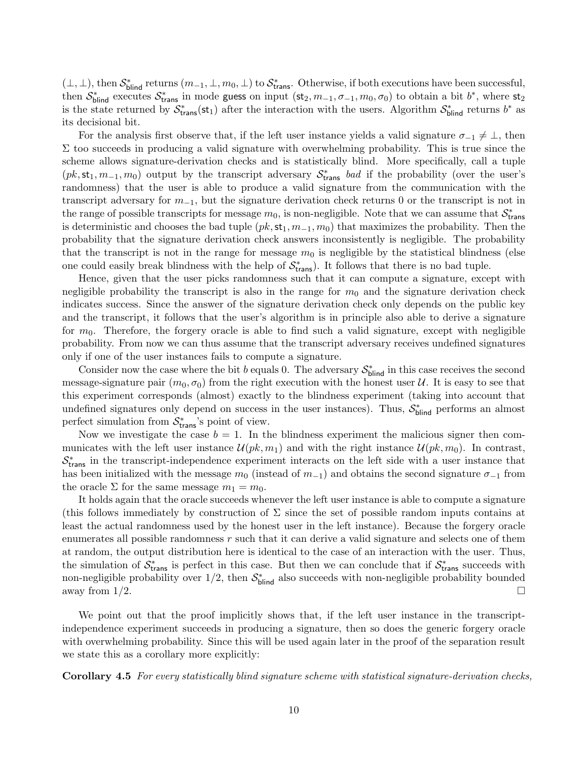$(\perp,\perp)$ , then  $\mathcal{S}_{\text{blind}}^*$  returns  $(m_{-1},\perp,m_0,\perp)$  to  $\mathcal{S}_{\text{trans}}^*$ . Otherwise, if both executions have been successful, then  $S^*_{\text{blind}}$  executes  $S^*_{\text{trans}}$  in mode guess on input  $(\text{st}_2, m_{-1}, \sigma_{-1}, m_0, \sigma_0)$  to obtain a bit  $b^*$ , where  $\text{st}_2$ is the state returned by  $S_{trans}^*(st_1)$  after the interaction with the users. Algorithm  $S_{blind}^*$  returns  $b^*$  as its decisional bit.

For the analysis first observe that, if the left user instance yields a valid signature  $\sigma_{-1} \neq \bot$ , then  $\Sigma$  too succeeds in producing a valid signature with overwhelming probability. This is true since the scheme allows signature-derivation checks and is statistically blind. More specifically, call a tuple  $(pk, st_1, m_{-1}, m_0)$  output by the transcript adversary  $\mathcal{S}^*_{trans}$  bad if the probability (over the user's randomness) that the user is able to produce a valid signature from the communication with the transcript adversary for  $m_{-1}$ , but the signature derivation check returns 0 or the transcript is not in the range of possible transcripts for message  $m_0$ , is non-negligible. Note that we can assume that  $S_{trans}^*$ is deterministic and chooses the bad tuple  $(pk, st_1, m_{-1}, m_0)$  that maximizes the probability. Then the probability that the signature derivation check answers inconsistently is negligible. The probability that the transcript is not in the range for message  $m_0$  is negligible by the statistical blindness (else one could easily break blindness with the help of  $\mathcal{S}_{trans}^*$ ). It follows that there is no bad tuple.

Hence, given that the user picks randomness such that it can compute a signature, except with negligible probability the transcript is also in the range for  $m_0$  and the signature derivation check indicates success. Since the answer of the signature derivation check only depends on the public key and the transcript, it follows that the user's algorithm is in principle also able to derive a signature for  $m_0$ . Therefore, the forgery oracle is able to find such a valid signature, except with negligible probability. From now we can thus assume that the transcript adversary receives undefined signatures only if one of the user instances fails to compute a signature.

Consider now the case where the bit b equals 0. The adversary  $S^*_{\text{blind}}$  in this case receives the second message-signature pair  $(m_0, \sigma_0)$  from the right execution with the honest user U. It is easy to see that this experiment corresponds (almost) exactly to the blindness experiment (taking into account that undefined signatures only depend on success in the user instances). Thus,  $S^*_{\text{blind}}$  performs an almost perfect simulation from  $S_{trans}^*$ 's point of view.

Now we investigate the case  $b = 1$ . In the blindness experiment the malicious signer then communicates with the left user instance  $\mathcal{U}(pk, m_1)$  and with the right instance  $\mathcal{U}(pk, m_0)$ . In contrast,  $S_{trans}^*$  in the transcript-independence experiment interacts on the left side with a user instance that has been initialized with the message  $m_0$  (instead of  $m_{-1}$ ) and obtains the second signature  $\sigma_{-1}$  from the oracle  $\Sigma$  for the same message  $m_1 = m_0$ .

It holds again that the oracle succeeds whenever the left user instance is able to compute a signature (this follows immediately by construction of  $\Sigma$  since the set of possible random inputs contains at least the actual randomness used by the honest user in the left instance). Because the forgery oracle enumerates all possible randomness  $r$  such that it can derive a valid signature and selects one of them at random, the output distribution here is identical to the case of an interaction with the user. Thus, the simulation of  $S_{trans}^*$  is perfect in this case. But then we can conclude that if  $S_{trans}^*$  succeeds with non-negligible probability over  $1/2$ , then  $S^*_{\text{blind}}$  also succeeds with non-negligible probability bounded away from  $1/2$ .

We point out that the proof implicitly shows that, if the left user instance in the transcriptindependence experiment succeeds in producing a signature, then so does the generic forgery oracle with overwhelming probability. Since this will be used again later in the proof of the separation result we state this as a corollary more explicitly:

Corollary 4.5 For every statistically blind signature scheme with statistical signature-derivation checks,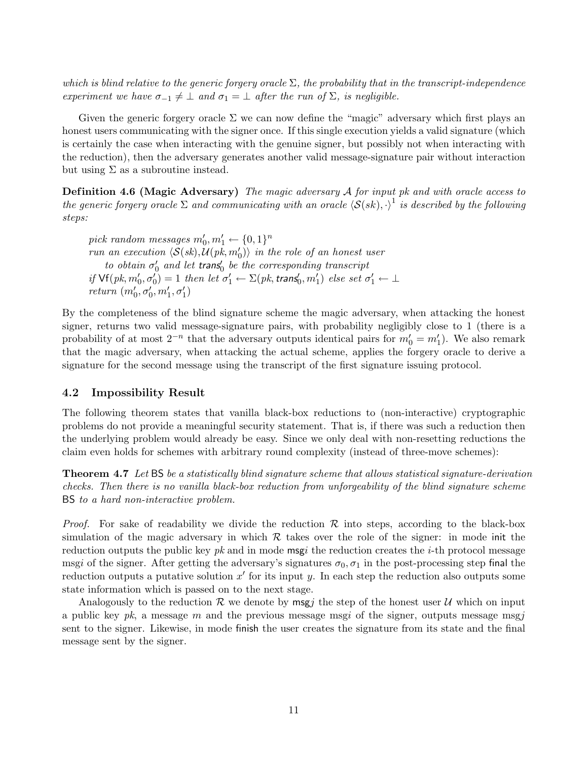which is blind relative to the generic forgery oracle  $\Sigma$ , the probability that in the transcript-independence experiment we have  $\sigma_{-1} \neq \bot$  and  $\sigma_1 = \bot$  after the run of  $\Sigma$ , is negligible.

Given the generic forgery oracle  $\Sigma$  we can now define the "magic" adversary which first plays and honest users communicating with the signer once. If this single execution yields a valid signature (which is certainly the case when interacting with the genuine signer, but possibly not when interacting with the reduction), then the adversary generates another valid message-signature pair without interaction but using  $\Sigma$  as a subroutine instead.

**Definition 4.6 (Magic Adversary)** The magic adversary  $A$  for input pk and with oracle access to the generic forgery oracle  $\Sigma$  and communicating with an oracle  $\langle S(sk), \cdot \rangle^1$  is described by the following steps:

pick random messages  $m'_0, m'_1 \leftarrow \{0, 1\}^n$ run an execution  $\langle S(sk), U(pk, m'_0) \rangle$  in the role of an honest user to obtain  $\sigma'_0$  and let trans be the corresponding transcript if  $\mathsf{Vf}(pk, m_0', \sigma_0') = 1$  then let  $\sigma_1' \leftarrow \Sigma(pk, \mathsf{trans}_0', m_1')$  else set  $\sigma_1' \leftarrow \bot$  $return (m'_0, \sigma'_0, m'_1, \sigma'_1)$ 

By the completeness of the blind signature scheme the magic adversary, when attacking the honest signer, returns two valid message-signature pairs, with probability negligibly close to 1 (there is a probability of at most  $2^{-n}$  that the adversary outputs identical pairs for  $m'_0 = m'_1$ ). We also remark that the magic adversary, when attacking the actual scheme, applies the forgery oracle to derive a signature for the second message using the transcript of the first signature issuing protocol.

#### 4.2 Impossibility Result

The following theorem states that vanilla black-box reductions to (non-interactive) cryptographic problems do not provide a meaningful security statement. That is, if there was such a reduction then the underlying problem would already be easy. Since we only deal with non-resetting reductions the claim even holds for schemes with arbitrary round complexity (instead of three-move schemes):

**Theorem 4.7** Let BS be a statistically blind signature scheme that allows statistical signature-derivation checks. Then there is no vanilla black-box reduction from unforgeability of the blind signature scheme BS to a hard non-interactive problem.

*Proof.* For sake of readability we divide the reduction  $\mathcal{R}$  into steps, according to the black-box simulation of the magic adversary in which  $\mathcal R$  takes over the role of the signer: in mode init the reduction outputs the public key pk and in mode msgi the reduction creates the *i*-th protocol message msgi of the signer. After getting the adversary's signatures  $\sigma_0$ ,  $\sigma_1$  in the post-processing step final the reduction outputs a putative solution  $x'$  for its input y. In each step the reduction also outputs some state information which is passed on to the next stage.

Analogously to the reduction R we denote by msg i the step of the honest user U which on input a public key pk, a message m and the previous message msgi of the signer, outputs message msgi sent to the signer. Likewise, in mode finish the user creates the signature from its state and the final message sent by the signer.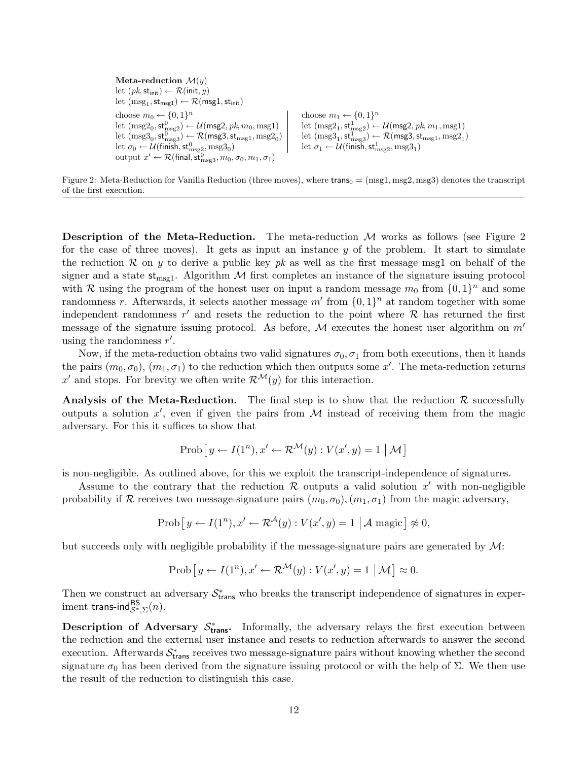Meta-reduction  $\mathcal{M}(y)$ let  $(pk, st_{init}) \leftarrow \mathcal{R}(init, y)$  $\text{let } (\text{msg}_1, \text{st}_\text{msg1}) \gets \mathcal{R}(\text{msg1}, \text{st}_\text{init})$ choose  $m_0 \leftarrow \{0, 1\}^n$ n choose  $m_1 \leftarrow \{0,1\}^n$ let  $(\text{msg2}_0, \text{st}^0_{\text{msg2}}) \leftarrow \mathcal{U}(\text{msg2}, pk, m_0, \text{msg1})$  let  $(\text{msg2}_1)$  $\mathsf{t},\mathsf{st}^1_{\text{msg2}} \rangle \leftarrow \mathcal{U}(\mathsf{msg2},\mathit{pk},m_1,\text{msg1})$  $\mathrm{let}\ (\mathrm{msg3}_0,\mathsf{st}^0_{\mathrm{msg3}}) \leftarrow \mathcal{R}(\mathsf{msg3},\mathsf{st}_{\mathrm{msg1}},\mathrm{msg2}_0)$ ) let  $(\text{msg3}_1, \text{st}^1_{\text{msg3}}) \leftarrow \mathcal{R}(\text{msg3}, \text{st}_{\text{msg1}}, \text{msg2}_1)$  $\mathrm{let}\,\,\sigma_0\leftarrow\mathcal{U}(\mathsf{finish},\mathsf{st}_{\mathrm{msg}2}^0,\mathrm{msg}3_0)$ ) let  $\sigma_1 \leftarrow \mathcal{U}(\text{finish}, \text{st}^1_{\text{msg2}}, \text{msg3}_1)$ output  $x' \leftarrow \mathcal{R}(\textsf{final}, \textsf{st}_{\text{msg}3}^0, m_0, \sigma_0, m_1, \sigma_1)$ 



**Description of the Meta-Reduction.** The meta-reduction  $M$  works as follows (see Figure 2) for the case of three moves). It gets as input an instance  $y$  of the problem. It start to simulate the reduction R on y to derive a public key pk as well as the first message msg1 on behalf of the signer and a state  $st_{\text{msg1}}$ . Algorithm M first completes an instance of the signature issuing protocol with R using the program of the honest user on input a random message  $m_0$  from  $\{0,1\}^n$  and some randomness r. Afterwards, it selects another message  $m'$  from  $\{0, 1\}^n$  at random together with some independent randomness  $r'$  and resets the reduction to the point where  $\mathcal R$  has returned the first message of the signature issuing protocol. As before,  $M$  executes the honest user algorithm on  $m'$ using the randomness  $r'$ .

Now, if the meta-reduction obtains two valid signatures  $\sigma_0$ ,  $\sigma_1$  from both executions, then it hands the pairs  $(m_0, \sigma_0), (m_1, \sigma_1)$  to the reduction which then outputs some x'. The meta-reduction returns x' and stops. For brevity we often write  $\mathcal{R}^{\mathcal{M}}(y)$  for this interaction.

Analysis of the Meta-Reduction. The final step is to show that the reduction  $\mathcal R$  successfully outputs a solution  $x'$ , even if given the pairs from M instead of receiving them from the magic adversary. For this it suffices to show that

$$
\mathrm{Prob}\left[y \leftarrow I(1^n), x' \leftarrow \mathcal{R}^{\mathcal{M}}(y) : V(x', y) = 1 \mid \mathcal{M}\right]
$$

is non-negligible. As outlined above, for this we exploit the transcript-independence of signatures.

Assume to the contrary that the reduction  $\mathcal R$  outputs a valid solution  $x'$  with non-negligible probability if R receives two message-signature pairs  $(m_0, \sigma_0), (m_1, \sigma_1)$  from the magic adversary,

$$
Prob[y \leftarrow I(1^n), x' \leftarrow \mathcal{R}^{\mathcal{A}}(y) : V(x', y) = 1 | \mathcal{A} \text{ magic }] \not\approx 0,
$$

but succeeds only with negligible probability if the message-signature pairs are generated by  $\mathcal{M}$ :

$$
\mathrm{Prob}\left[y \leftarrow I(1^n), x' \leftarrow \mathcal{R}^{\mathcal{M}}(y) : V(x', y) = 1 \mid \mathcal{M}\right] \approx 0.
$$

Then we construct an adversary  $S_{trans}^*$  who breaks the transcript independence of signatures in experiment trans-ind ${}^{BS}_{\mathcal{S}^*,\Sigma}(n)$ .

Description of Adversary  $S_{trans}^*$ . Informally, the adversary relays the first execution between the reduction and the external user instance and resets to reduction afterwards to answer the second execution. Afterwards  $S_{trans}^*$  receives two message-signature pairs without knowing whether the second signature  $\sigma_0$  has been derived from the signature issuing protocol or with the help of  $\Sigma$ . We then use the result of the reduction to distinguish this case.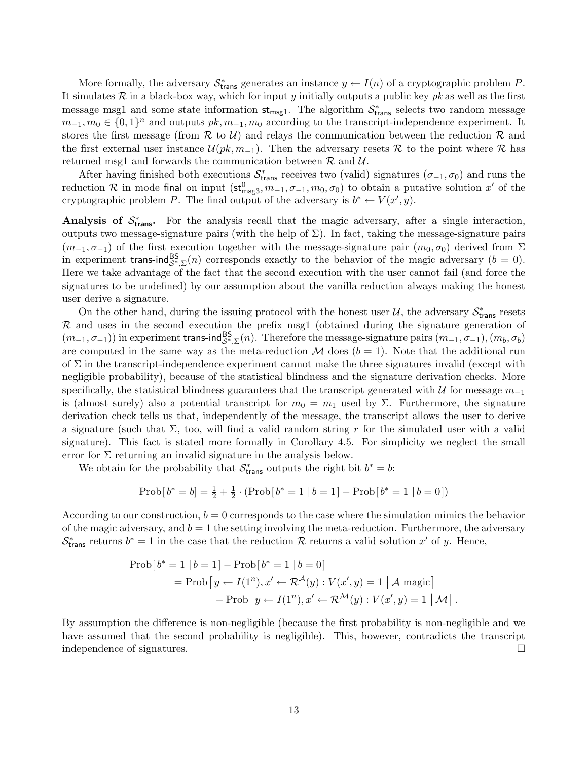More formally, the adversary  $S_{trans}^*$  generates an instance  $y \leftarrow I(n)$  of a cryptographic problem P. It simulates  $\mathcal R$  in a black-box way, which for input y initially outputs a public key pk as well as the first message msg1 and some state information  $st_{msg1}$ . The algorithm  $S^*_{trans}$  selects two random message  $m_{-1}, m_0 \in \{0,1\}^n$  and outputs  $pk, m_{-1}, m_0$  according to the transcript-independence experiment. It stores the first message (from  $\mathcal R$  to  $\mathcal U$ ) and relays the communication between the reduction  $\mathcal R$  and the first external user instance  $\mathcal{U}(pk, m_{-1})$ . Then the adversary resets R to the point where R has returned msg1 and forwards the communication between  $\mathcal{R}$  and  $\mathcal{U}$ .

After having finished both executions  $S_{trans}^*$  receives two (valid) signatures  $(\sigma_{-1}, \sigma_0)$  and runs the reduction R in mode final on input  $(st_{\text{msg3}}^0, m_{-1}, \sigma_{-1}, m_0, \sigma_0)$  to obtain a putative solution  $x'$  of the cryptographic problem P. The final output of the adversary is  $b^* \leftarrow V(x', y)$ .

Analysis of  $S_{trans}^*$ . For the analysis recall that the magic adversary, after a single interaction, outputs two message-signature pairs (with the help of  $\Sigma$ ). In fact, taking the message-signature pairs  $(m_{-1}, \sigma_{-1})$  of the first execution together with the message-signature pair  $(m_0, \sigma_0)$  derived from  $\Sigma$ in experiment trans-ind<sup>BS</sup><sub>s<sup>\*</sup>, $\Sigma$ </sub>(n) corresponds exactly to the behavior of the magic adversary (b = 0). Here we take advantage of the fact that the second execution with the user cannot fail (and force the signatures to be undefined) by our assumption about the vanilla reduction always making the honest user derive a signature.

On the other hand, during the issuing protocol with the honest user  $\mathcal{U}$ , the adversary  $\mathcal{S}_{trans}^*$  resets  $\mathcal R$  and uses in the second execution the prefix msg1 (obtained during the signature generation of  $(m_{-1}, \sigma_{-1})$ ) in experiment trans-ind<sup>BS</sup><sub>, $\Sigma$ </sub> $(n)$ . Therefore the message-signature pairs  $(m_{-1}, \sigma_{-1})$ ,  $(m_b, \sigma_b)$ are computed in the same way as the meta-reduction  $\mathcal M$  does  $(b = 1)$ . Note that the additional run of  $\Sigma$  in the transcript-independence experiment cannot make the three signatures invalid (except with negligible probability), because of the statistical blindness and the signature derivation checks. More specifically, the statistical blindness guarantees that the transcript generated with  $\mathcal{U}$  for message  $m_{-1}$ is (almost surely) also a potential transcript for  $m_0 = m_1$  used by  $\Sigma$ . Furthermore, the signature derivation check tells us that, independently of the message, the transcript allows the user to derive a signature (such that  $\Sigma$ , too, will find a valid random string r for the simulated user with a valid signature). This fact is stated more formally in Corollary 4.5. For simplicity we neglect the small error for  $\Sigma$  returning an invalid signature in the analysis below.

We obtain for the probability that  $S_{trans}^*$  outputs the right bit  $b^* = b$ :

$$
Prob[b^* = b] = \frac{1}{2} + \frac{1}{2} \cdot (Prob[b^* = 1 | b = 1] - Prob[b^* = 1 | b = 0])
$$

According to our construction,  $b = 0$  corresponds to the case where the simulation mimics the behavior of the magic adversary, and  $b = 1$  the setting involving the meta-reduction. Furthermore, the adversary  $S_{trans}^*$  returns  $b^* = 1$  in the case that the reduction R returns a valid solution x' of y. Hence,

$$
\begin{aligned} \text{Prob}[b^* = 1 \mid b = 1] - \text{Prob}[b^* = 1 \mid b = 0] \\ &= \text{Prob}\left[y \leftarrow I(1^n), x' \leftarrow \mathcal{R}^{\mathcal{A}}(y) : V(x', y) = 1 \mid \mathcal{A} \text{ magic}\right] \\ &- \text{Prob}\left[y \leftarrow I(1^n), x' \leftarrow \mathcal{R}^{\mathcal{M}}(y) : V(x', y) = 1 \mid \mathcal{M}\right]. \end{aligned}
$$

By assumption the difference is non-negligible (because the first probability is non-negligible and we have assumed that the second probability is negligible). This, however, contradicts the transcript independence of signatures.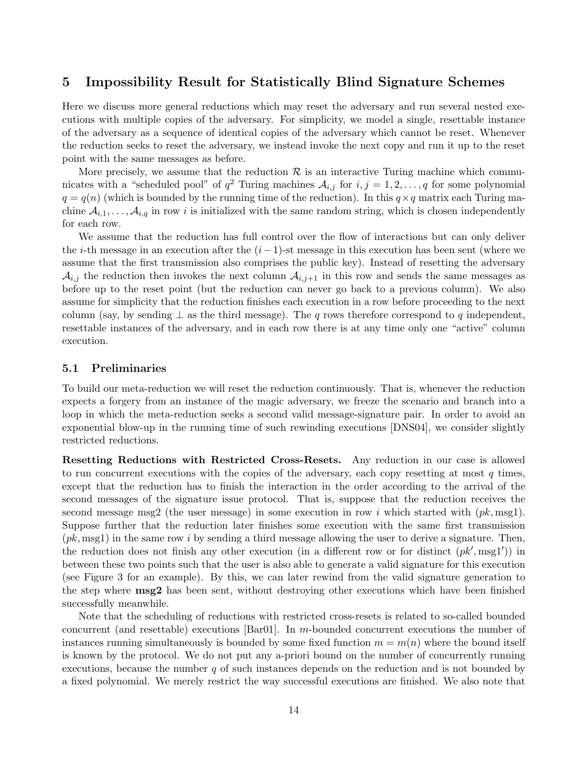### 5 Impossibility Result for Statistically Blind Signature Schemes

Here we discuss more general reductions which may reset the adversary and run several nested executions with multiple copies of the adversary. For simplicity, we model a single, resettable instance of the adversary as a sequence of identical copies of the adversary which cannot be reset. Whenever the reduction seeks to reset the adversary, we instead invoke the next copy and run it up to the reset point with the same messages as before.

More precisely, we assume that the reduction  $\mathcal R$  is an interactive Turing machine which communicates with a "scheduled pool" of  $q^2$  Turing machines  $\mathcal{A}_{i,j}$  for  $i, j = 1, 2, \ldots, q$  for some polynomial  $q = q(n)$  (which is bounded by the running time of the reduction). In this  $q \times q$  matrix each Turing machine  $A_{i,1}, \ldots, A_{i,q}$  in row i is initialized with the same random string, which is chosen independently for each row.

We assume that the reduction has full control over the flow of interactions but can only deliver the *i*-th message in an execution after the  $(i-1)$ -st message in this execution has been sent (where we assume that the first transmission also comprises the public key). Instead of resetting the adversary  $\mathcal{A}_{i,j}$  the reduction then invokes the next column  $\mathcal{A}_{i,j+1}$  in this row and sends the same messages as before up to the reset point (but the reduction can never go back to a previous column). We also assume for simplicity that the reduction finishes each execution in a row before proceeding to the next column (say, by sending  $\perp$  as the third message). The q rows therefore correspond to q independent, resettable instances of the adversary, and in each row there is at any time only one "active" column execution.

#### 5.1 Preliminaries

To build our meta-reduction we will reset the reduction continuously. That is, whenever the reduction expects a forgery from an instance of the magic adversary, we freeze the scenario and branch into a loop in which the meta-reduction seeks a second valid message-signature pair. In order to avoid an exponential blow-up in the running time of such rewinding executions [DNS04], we consider slightly restricted reductions.

Resetting Reductions with Restricted Cross-Resets. Any reduction in our case is allowed to run concurrent executions with the copies of the adversary, each copy resetting at most  $q$  times, except that the reduction has to finish the interaction in the order according to the arrival of the second messages of the signature issue protocol. That is, suppose that the reduction receives the second message msg2 (the user message) in some execution in row i which started with  $(pk, \text{msg1})$ . Suppose further that the reduction later finishes some execution with the same first transmission  $(pk, \text{msg1})$  in the same row i by sending a third message allowing the user to derive a signature. Then, the reduction does not finish any other execution (in a different row or for distinct  $(pk', \text{msg1'})$ ) in between these two points such that the user is also able to generate a valid signature for this execution (see Figure 3 for an example). By this, we can later rewind from the valid signature generation to the step where msg2 has been sent, without destroying other executions which have been finished successfully meanwhile.

Note that the scheduling of reductions with restricted cross-resets is related to so-called bounded concurrent (and resettable) executions [Bar01]. In m-bounded concurrent executions the number of instances running simultaneously is bounded by some fixed function  $m = m(n)$  where the bound itself is known by the protocol. We do not put any a-priori bound on the number of concurrently running executions, because the number  $q$  of such instances depends on the reduction and is not bounded by a fixed polynomial. We merely restrict the way successful executions are finished. We also note that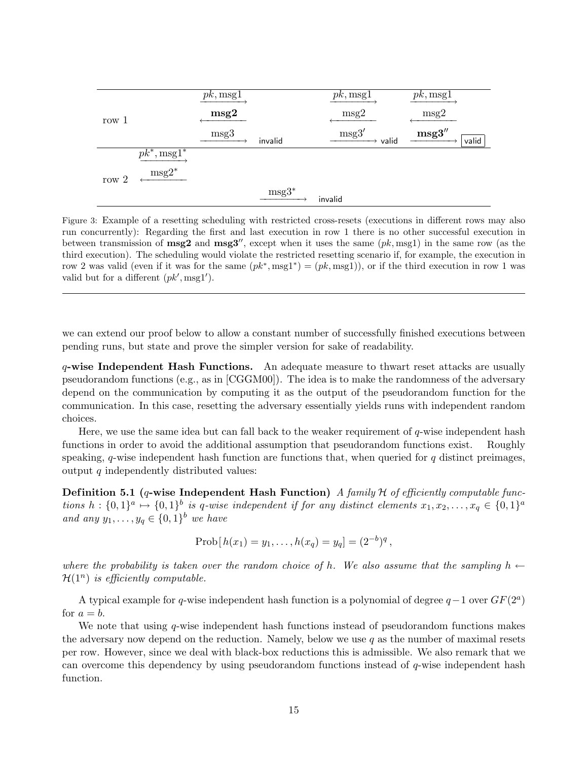|         |                    | $pk, \text{msg}1$ |         | $pk, \text{msg}1$ | $pk$ , msg1     |
|---------|--------------------|-------------------|---------|-------------------|-----------------|
| row 1   |                    | msg2              |         | msg2              | msg2            |
|         |                    | msg3              | invalid | msg3'<br>valid    | msg3''<br>valid |
|         | $pk^*$ , msg $1^*$ |                   |         |                   |                 |
| row $2$ | $\rm{msg2}^*$      |                   |         |                   |                 |
|         |                    |                   | $msg3*$ | invalid           |                 |

Figure 3: Example of a resetting scheduling with restricted cross-resets (executions in different rows may also run concurrently): Regarding the first and last execution in row 1 there is no other successful execution in between transmission of  $\text{msg2}$  and  $\text{msg3}''$ , except when it uses the same  $(pk, \text{msg1})$  in the same row (as the third execution). The scheduling would violate the restricted resetting scenario if, for example, the execution in row 2 was valid (even if it was for the same  $(pk^*, \text{msg1}^*) = (pk, \text{msg1})),$  or if the third execution in row 1 was valid but for a different  $(pk', \text{msg1}').$ 

we can extend our proof below to allow a constant number of successfully finished executions between pending runs, but state and prove the simpler version for sake of readability.

q-wise Independent Hash Functions. An adequate measure to thwart reset attacks are usually pseudorandom functions (e.g., as in [CGGM00]). The idea is to make the randomness of the adversary depend on the communication by computing it as the output of the pseudorandom function for the communication. In this case, resetting the adversary essentially yields runs with independent random choices.

Here, we use the same idea but can fall back to the weaker requirement of  $q$ -wise independent hash functions in order to avoid the additional assumption that pseudorandom functions exist. Roughly speaking, q-wise independent hash function are functions that, when queried for  $q$  distinct preimages, output  $q$  independently distributed values:

**Definition 5.1 (q-wise Independent Hash Function)** A family  $H$  of efficiently computable functions  $h: \{0,1\}^a \mapsto \{0,1\}^b$  is q-wise independent if for any distinct elements  $x_1, x_2, \ldots, x_q \in \{0,1\}^a$ and any  $y_1, \ldots, y_q \in \{0,1\}^b$  we have

$$
Prob[h(x_1) = y_1, \ldots, h(x_q) = y_q] = (2^{-b})^q,
$$

where the probability is taken over the random choice of h. We also assume that the sampling  $h \leftarrow$  $\mathcal{H}(1^n)$  is efficiently computable.

A typical example for q-wise independent hash function is a polynomial of degree  $q-1$  over  $GF(2<sup>a</sup>)$ for  $a = b$ .

We note that using  $q$ -wise independent hash functions instead of pseudorandom functions makes the adversary now depend on the reduction. Namely, below we use  $q$  as the number of maximal resets per row. However, since we deal with black-box reductions this is admissible. We also remark that we can overcome this dependency by using pseudorandom functions instead of  $q$ -wise independent hash function.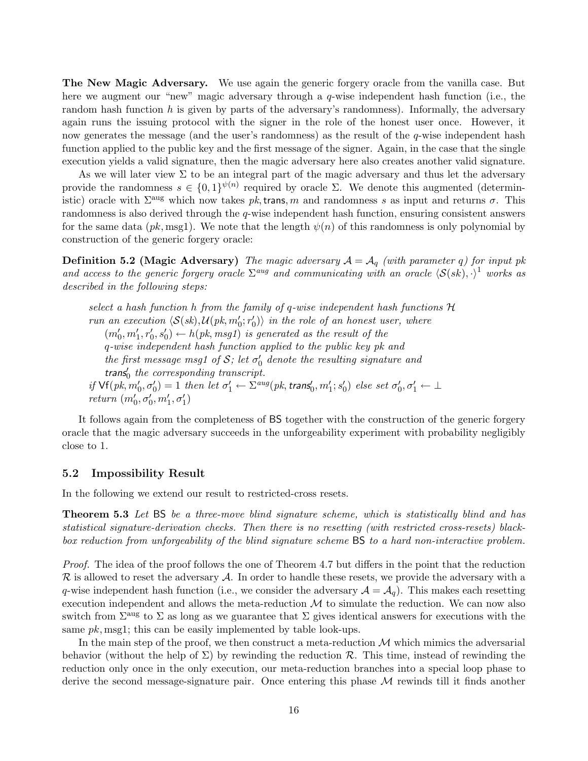The New Magic Adversary. We use again the generic forgery oracle from the vanilla case. But here we augment our "new" magic adversary through a  $q$ -wise independent hash function (i.e., the random hash function  $h$  is given by parts of the adversary's randomness). Informally, the adversary again runs the issuing protocol with the signer in the role of the honest user once. However, it now generates the message (and the user's randomness) as the result of the  $q$ -wise independent hash function applied to the public key and the first message of the signer. Again, in the case that the single execution yields a valid signature, then the magic adversary here also creates another valid signature.

As we will later view  $\Sigma$  to be an integral part of the magic adversary and thus let the adversary provide the randomness  $s \in \{0,1\}^{\psi(n)}$  required by oracle  $\Sigma$ . We denote this augmented (deterministic) oracle with  $\Sigma^{\text{aug}}$  which now takes pk, trans, m and randomness s as input and returns  $\sigma$ . This randomness is also derived through the  $q$ -wise independent hash function, ensuring consistent answers for the same data (pk, msg1). We note that the length  $\psi(n)$  of this randomness is only polynomial by construction of the generic forgery oracle:

**Definition 5.2 (Magic Adversary)** The magic adversary  $A = A_q$  (with parameter q) for input pk and access to the generic forgery oracle  $\Sigma^{aug}$  and communicating with an oracle  $\langle S(sk), \cdot \rangle^1$  works as described in the following steps:

select a hash function h from the family of q-wise independent hash functions H run an execution  $\langle S(sk), \mathcal{U}(pk, m_0'; r_0') \rangle$  in the role of an honest user, where  $(m'_0, m'_1, r'_0, s'_0) \leftarrow h(pk, msg1)$  is generated as the result of the q-wise independent hash function applied to the public key pk and the first message msg1 of  $\mathcal{S}$ ; let  $\sigma_0'$  denote the resulting signature and trans<sup> $\zeta$ </sup> the corresponding transcript. trans<sub>0</sub> the corresponding transcript.<br>if  $Vf(pk, m'_0, \sigma'_0) = 1$  then let  $\sigma'_1 \leftarrow \sum^{aug}(pk, trans'_0, m'_1; s'_0)$  else set  $\sigma'_0, \sigma'_1 \leftarrow \perp$  $return (m'_0, \sigma'_0, m'_1, \sigma'_1)$ 

It follows again from the completeness of BS together with the construction of the generic forgery oracle that the magic adversary succeeds in the unforgeability experiment with probability negligibly close to 1.

#### 5.2 Impossibility Result

In the following we extend our result to restricted-cross resets.

**Theorem 5.3** Let BS be a three-move blind signature scheme, which is statistically blind and has statistical signature-derivation checks. Then there is no resetting (with restricted cross-resets) blackbox reduction from unforgeability of the blind signature scheme BS to a hard non-interactive problem.

Proof. The idea of the proof follows the one of Theorem 4.7 but differs in the point that the reduction  $\mathcal R$  is allowed to reset the adversary  $\mathcal A$ . In order to handle these resets, we provide the adversary with a q-wise independent hash function (i.e., we consider the adversary  $\mathcal{A} = \mathcal{A}_q$ ). This makes each resetting execution independent and allows the meta-reduction  $\mathcal M$  to simulate the reduction. We can now also switch from  $\Sigma^{\text{aug}}$  to  $\Sigma$  as long as we guarantee that  $\Sigma$  gives identical answers for executions with the same  $pk$ , msg1; this can be easily implemented by table look-ups.

In the main step of the proof, we then construct a meta-reduction  $\mathcal M$  which mimics the adversarial behavior (without the help of  $\Sigma$ ) by rewinding the reduction R. This time, instead of rewinding the reduction only once in the only execution, our meta-reduction branches into a special loop phase to derive the second message-signature pair. Once entering this phase  $\mathcal M$  rewinds till it finds another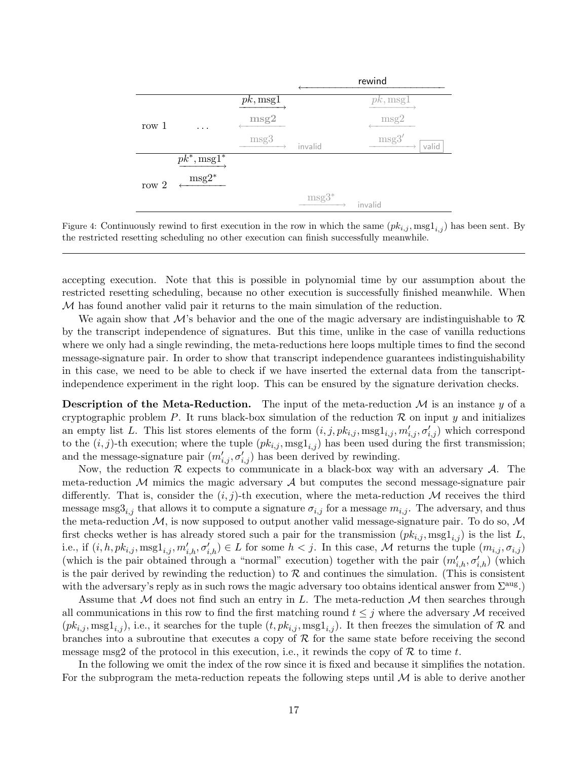|         |                    |             |         | rewind         |
|---------|--------------------|-------------|---------|----------------|
|         |                    | $pk$ , msg1 |         | $pk$ , msg1    |
| row 1   | $\cdots$           | msg2        |         | msg2           |
|         |                    | msg3        | invalid | msg3'<br>valid |
|         | $pk^*$ , msg $1^*$ |             |         |                |
| row $2$ | $msg2*$            |             |         |                |
|         |                    |             | $msg3*$ | invalid        |

Figure 4: Continuously rewind to first execution in the row in which the same  $(pk_{i,j}, \text{msg1}_{i,j})$  has been sent. By the restricted resetting scheduling no other execution can finish successfully meanwhile.

accepting execution. Note that this is possible in polynomial time by our assumption about the restricted resetting scheduling, because no other execution is successfully finished meanwhile. When  $M$  has found another valid pair it returns to the main simulation of the reduction.

We again show that M's behavior and the one of the magic adversary are indistinguishable to  $\mathcal R$ by the transcript independence of signatures. But this time, unlike in the case of vanilla reductions where we only had a single rewinding, the meta-reductions here loops multiple times to find the second message-signature pair. In order to show that transcript independence guarantees indistinguishability in this case, we need to be able to check if we have inserted the external data from the tanscriptindependence experiment in the right loop. This can be ensured by the signature derivation checks.

**Description of the Meta-Reduction.** The input of the meta-reduction M is an instance  $y$  of a cryptographic problem P. It runs black-box simulation of the reduction R on input y and initializes an empty list L. This list stores elements of the form  $(i, j, pk_{i,j}, msg1_{i,j}, m'_{i,j}, \sigma'_{i,j})$  which correspond to the  $(i, j)$ -th execution; where the tuple  $(pk_{i,j}, \text{msg1}_{i,j})$  has been used during the first transmission; and the message-signature pair  $(m'_{i,j}, \sigma'_{i,j})$  has been derived by rewinding.

Now, the reduction  $\mathcal R$  expects to communicate in a black-box way with an adversary  $\mathcal A$ . The meta-reduction M mimics the magic adversary  $\mathcal A$  but computes the second message-signature pair differently. That is, consider the  $(i, j)$ -th execution, where the meta-reduction M receives the third message msg $3_{i,j}$  that allows it to compute a signature  $\sigma_{i,j}$  for a message  $m_{i,j}$ . The adversary, and thus the meta-reduction  $M$ , is now supposed to output another valid message-signature pair. To do so,  $M$ first checks wether is has already stored such a pair for the transmission  $(pk_{i,j}, \text{msg1}_{i,j})$  is the list L, i.e., if  $(i, h, pk_{i,j}, msg1_{i,j}, m'_{i,h}, \sigma'_{i,h}) \in L$  for some  $h < j$ . In this case, M returns the tuple  $(m_{i,j}, \sigma_{i,j})$ (which is the pair obtained through a "normal" execution) together with the pair  $(m'_{i,h}, \sigma'_{i,h})$  (which is the pair derived by rewinding the reduction) to  $R$  and continues the simulation. (This is consistent with the adversary's reply as in such rows the magic adversary too obtains identical answer from  $\Sigma^{\text{aug}}$ .)

Assume that M does not find such an entry in L. The meta-reduction  $M$  then searches through all communications in this row to find the first matching round  $t \leq j$  where the adversary M received  $(pk_{i,j}, \text{msg1}_{i,j})$ , i.e., it searches for the tuple  $(t, pk_{i,j}, \text{msg1}_{i,j})$ . It then freezes the simulation of  $\mathcal{R}$  and branches into a subroutine that executes a copy of  $R$  for the same state before receiving the second message msg2 of the protocol in this execution, i.e., it rewinds the copy of  $\mathcal R$  to time t.

In the following we omit the index of the row since it is fixed and because it simplifies the notation. For the subprogram the meta-reduction repeats the following steps until  $\mathcal M$  is able to derive another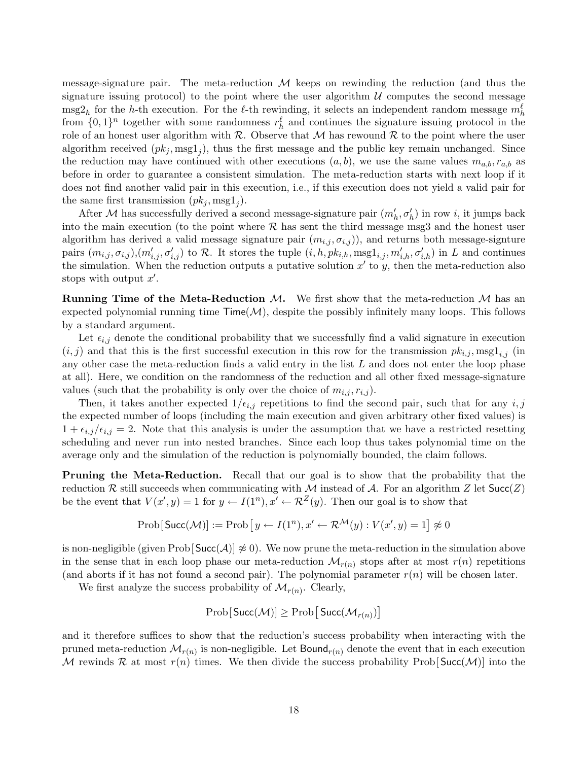message-signature pair. The meta-reduction  $\mathcal M$  keeps on rewinding the reduction (and thus the signature issuing protocol) to the point where the user algorithm  $U$  computes the second message  $\text{msg2}_h$  for the h-th execution. For the l-th rewinding, it selects an independent random message  $m_h^{\ell}$ from  $\{0,1\}^n$  together with some randomness  $r_h^{\ell}$  and continues the signature issuing protocol in the role of an honest user algorithm with  $R$ . Observe that M has rewound R to the point where the user algorithm received  $(pk_j, \text{msg1}_j)$ , thus the first message and the public key remain unchanged. Since the reduction may have continued with other executions  $(a, b)$ , we use the same values  $m_{a,b}, r_{a,b}$  as before in order to guarantee a consistent simulation. The meta-reduction starts with next loop if it does not find another valid pair in this execution, i.e., if this execution does not yield a valid pair for the same first transmission  $(pk_j, \text{msg1}_j)$ .

After M has successfully derived a second message-signature pair  $(m'_h, \sigma'_h)$  in row *i*, it jumps back into the main execution (to the point where  $R$  has sent the third message msg3 and the honest user algorithm has derived a valid message signature pair  $(m_{i,j}, \sigma_{i,j})$ , and returns both message-signture pairs  $(m_{i,j}, \sigma_{i,j})$ , $(m'_{i,j}, \sigma'_{i,j})$  to R. It stores the tuple  $(i, h, pk_{i,h}, msg1_{i,j}, m'_{i,h}, \sigma'_{i,h})$  in L and continues the simulation. When the reduction outputs a putative solution x' to y, then the meta-reduction also stops with output  $x'$ .

**Running Time of the Meta-Reduction M.** We first show that the meta-reduction M has an expected polynomial running time  $\text{Time}(\mathcal{M})$ , despite the possibly infinitely many loops. This follows by a standard argument.

Let  $\epsilon_{i,j}$  denote the conditional probability that we successfully find a valid signature in execution  $(i, j)$  and that this is the first successful execution in this row for the transmission  $pk_{i,j}$ , msg $1_{i,j}$  (in any other case the meta-reduction finds a valid entry in the list  $L$  and does not enter the loop phase at all). Here, we condition on the randomness of the reduction and all other fixed message-signature values (such that the probability is only over the choice of  $m_{i,j}, r_{i,j}$ ).

Then, it takes another expected  $1/\epsilon_{i,j}$  repetitions to find the second pair, such that for any  $i, j$ the expected number of loops (including the main execution and given arbitrary other fixed values) is  $1 + \epsilon_{i,j}/\epsilon_{i,j} = 2$ . Note that this analysis is under the assumption that we have a restricted resetting scheduling and never run into nested branches. Since each loop thus takes polynomial time on the average only and the simulation of the reduction is polynomially bounded, the claim follows.

Pruning the Meta-Reduction. Recall that our goal is to show that the probability that the reduction R still succeeds when communicating with M instead of A. For an algorithm Z let  $Succ(Z)$ be the event that  $V(x', y) = 1$  for  $y \leftarrow I(1^n), x' \leftarrow \mathcal{R}^Z(y)$ . Then our goal is to show that

$$
Prob[Succ(\mathcal{M})] := Prob[y \leftarrow I(1^n), x' \leftarrow \mathcal{R}^{\mathcal{M}}(y) : V(x', y) = 1] \not\approx 0
$$

is non-negligible (given  $\text{Prob}[\text{Succ}(\mathcal{A})] \not\approx 0$ ). We now prune the meta-reduction in the simulation above in the sense that in each loop phase our meta-reduction  $\mathcal{M}_{r(n)}$  stops after at most  $r(n)$  repetitions (and aborts if it has not found a second pair). The polynomial parameter  $r(n)$  will be chosen later.

We first analyze the success probability of  $\mathcal{M}_{r(n)}$ . Clearly,

$$
\mathrm{Prob}[\mathsf{Succ}(\mathcal{M})] \geq \mathrm{Prob}\big[\mathsf{Succ}(\mathcal{M}_{r(n)})\big]
$$

and it therefore suffices to show that the reduction's success probability when interacting with the pruned meta-reduction  $\mathcal{M}_{r(n)}$  is non-negligible. Let Bound<sub> $r(n)$ </sub> denote the event that in each execution M rewinds R at most  $r(n)$  times. We then divide the success probability Prob[Succ(M)] into the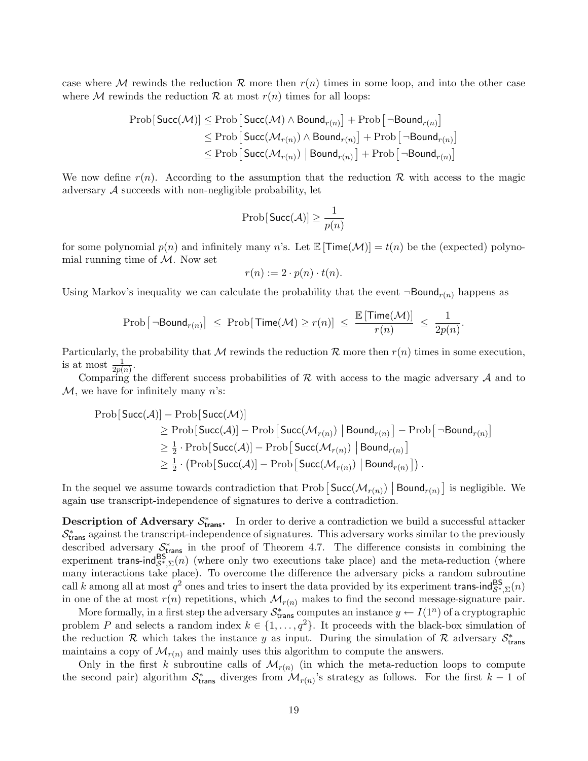case where M rewinds the reduction R more then  $r(n)$  times in some loop, and into the other case where M rewinds the reduction R at most  $r(n)$  times for all loops:

$$
\begin{aligned} \mathrm{Prob}\big[\operatorname{\mathsf{Succ}}(\mathcal{M})\big] &\leq \mathrm{Prob}\big[\operatorname{\mathsf{Succ}}(\mathcal{M})\wedge \operatorname{\mathsf{Bound}}_{r(n)}\big] + \mathrm{Prob}\big[\neg\operatorname{\mathsf{Bound}}_{r(n)}\big] \\ &\leq \mathrm{Prob}\big[\operatorname{\mathsf{Succ}}(\mathcal{M}_{r(n)})\wedge \operatorname{\mathsf{Bound}}_{r(n)}\big] + \mathrm{Prob}\big[\neg\operatorname{\mathsf{Bound}}_{r(n)}\big] \\ &\leq \mathrm{Prob}\big[\operatorname{\mathsf{Succ}}(\mathcal{M}_{r(n)})\;\big|\; \operatorname{\mathsf{Bound}}_{r(n)}\big] + \mathrm{Prob}\big[\neg\operatorname{\mathsf{Bound}}_{r(n)}\big] \end{aligned}
$$

We now define  $r(n)$ . According to the assumption that the reduction R with access to the magic adversary  $A$  succeeds with non-negligible probability, let

$$
\mathrm{Prob}[\,\mathsf{Succ}(\mathcal{A})] \geq \frac{1}{p(n)}
$$

for some polynomial  $p(n)$  and infinitely many n's. Let  $\mathbb{E}[\text{Time}(\mathcal{M})] = t(n)$  be the (expected) polynomial running time of  $M$ . Now set

$$
r(n) := 2 \cdot p(n) \cdot t(n).
$$

Using Markov's inequality we can calculate the probability that the event  $\neg$ Bound<sub>r(n)</sub> happens as

$$
\mathrm{Prob}\left[\left.\neg\mathsf{Bound}_{r(n)}\right]\right. \leq \; \mathrm{Prob}\big[\mathsf{Time}(\mathcal{M}) \geq r(n)\big] \; \leq \; \frac{\mathbb{E}\left[\mathsf{Time}(\mathcal{M})\right]}{r(n)} \; \leq \; \frac{1}{2p(n)}.
$$

Particularly, the probability that M rewinds the reduction  $\mathcal R$  more then  $r(n)$  times in some execution, is at most  $\frac{1}{2p(n)}$ .

Comparing the different success probabilities of  $\mathcal R$  with access to the magic adversary  $\mathcal A$  and to  $M$ , we have for infinitely many n's:

$$
\begin{aligned} \operatorname{Prob}\left[\mathsf{Succ}(\mathcal{A})\right] &- \operatorname{Prob}\left[\mathsf{Succ}(\mathcal{M})\right] \\ &\geq \operatorname{Prob}\left[\mathsf{Succ}(\mathcal{A})\right] - \operatorname{Prob}\left[\mathsf{Succ}(\mathcal{M}_{r(n)}) \,\,\middle|\,\, \mathsf{Bound}_{r(n)}\right] - \operatorname{Prob}\left[\neg \mathsf{Bound}_{r(n)}\right] \\ &\geq \frac{1}{2} \cdot \operatorname{Prob}\left[\mathsf{Succ}(\mathcal{A})\right] - \operatorname{Prob}\left[\mathsf{Succ}(\mathcal{M}_{r(n)}) \,\,\middle|\,\, \mathsf{Bound}_{r(n)}\right] \\ &\geq \frac{1}{2} \cdot \left(\operatorname{Prob}\left[\mathsf{Succ}(\mathcal{A})\right] - \operatorname{Prob}\left[\mathsf{Succ}(\mathcal{M}_{r(n)}) \,\,\middle|\,\, \mathsf{Bound}_{r(n)}\right]\right). \end{aligned}
$$

In the sequel we assume towards contradiction that  $\text{Prob}\left[\text{Succ}(\mathcal{M}_{r(n)}) \,\middle|\, \text{Bound}_{r(n)}\right]$  is negligible. We again use transcript-independence of signatures to derive a contradiction.

**Description of Adversary**  $\mathcal{S}_{\text{trans}}^*$ **.** In order to derive a contradiction we build a successful attacker  $S_{trans}^*$  against the transcript-independence of signatures. This adversary works similar to the previously described adversary  $S_{trans}^*$  in the proof of Theorem 4.7. The difference consists in combining the experiment trans-ind<sup>BS</sup><sub>s<sup>\*</sup>,Σ</sub>(n) (where only two executions take place) and the meta-reduction (where many interactions take place). To overcome the difference the adversary picks a random subroutine call k among all at most  $q^2$  ones and tries to insert the data provided by its experiment trans-ind ${}^{BS}_{S^*,\Sigma}(n)$ in one of the at most  $r(n)$  repetitions, which  $\mathcal{M}_{r(n)}$  makes to find the second message-signature pair.

More formally, in a first step the adversary  $S_{trans}^*$  computes an instance  $y \leftarrow I(1^n)$  of a cryptographic problem P and selects a random index  $k \in \{1, ..., q^2\}$ . It proceeds with the black-box simulation of the reduction R which takes the instance y as input. During the simulation of R adversary  $S_{trans}^*$ maintains a copy of  $\mathcal{M}_{r(n)}$  and mainly uses this algorithm to compute the answers.

Only in the first k subroutine calls of  $\mathcal{M}_{r(n)}$  (in which the meta-reduction loops to compute the second pair) algorithm  $S_{trans}^*$  diverges from  $\mathcal{M}_{r(n)}$ 's strategy as follows. For the first  $k-1$  of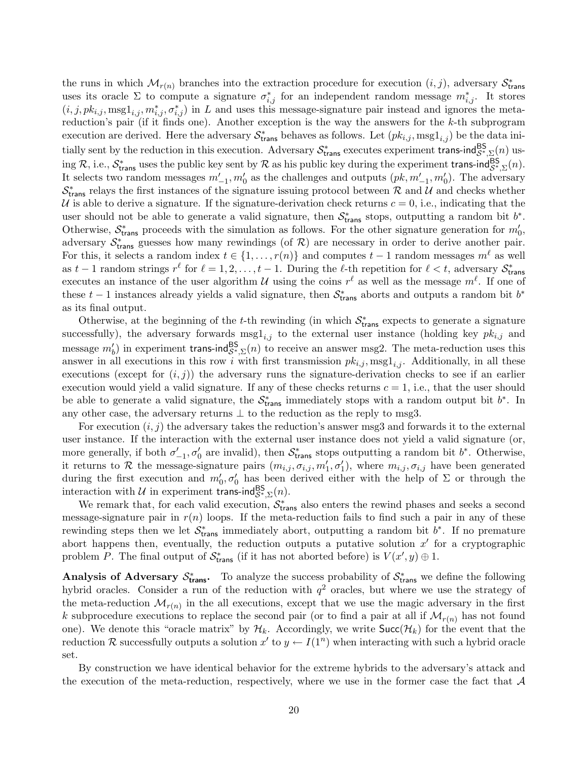the runs in which  $\mathcal{M}_{r(n)}$  branches into the extraction procedure for execution  $(i, j)$ , adversary  $\mathcal{S}_{trans}^*$ uses its oracle  $\Sigma$  to compute a signature  $\sigma_{i,j}^*$  for an independent random message  $m_{i,j}^*$ . It stores  $(i, j, pk_{i,j}, \text{msg1}_{i,j}, m^*_{i,j}, \sigma^*_{i,j})$  in L and uses this message-signature pair instead and ignores the metareduction's pair (if it finds one). Another exception is the way the answers for the  $k$ -th subprogram execution are derived. Here the adversary  $\mathcal{S}_{trans}^*$  behaves as follows. Let  $(pk_{i,j}, \text{msg1}_{i,j})$  be the data initially sent by the reduction in this execution. Adversary  $S_{\text{trans}}^*$  executes experiment trans-ind $S_{s,\Sigma}^*(n)$  using R, i.e.,  $\mathcal{S}^*_{\text{trans}}$  uses the public key sent by R as his public key during the experiment trans-ind ${}^{BS}_{\mathcal{S}^*,\Sigma}(n)$ . It selects two random messages  $m'_{-1}, m'_{0}$  as the challenges and outputs  $(pk, m'_{-1}, m'_{0})$ . The adversary  $\mathcal{S}^*_{trans}$  relays the first instances of the signature issuing protocol between  $\mathcal{R}$  and  $\mathcal{U}$  and checks whether U is able to derive a signature. If the signature-derivation check returns  $c = 0$ , i.e., indicating that the user should not be able to generate a valid signature, then  $S_{trans}^*$  stops, outputting a random bit  $b^*$ . Otherwise,  $S_{trans}^*$  proceeds with the simulation as follows. For the other signature generation for  $m'_0$ , adversary  $S_{trans}^*$  guesses how many rewindings (of  $R$ ) are necessary in order to derive another pair. For this, it selects a random index  $t \in \{1, ..., r(n)\}$  and computes  $t - 1$  random messages  $m^{\ell}$  as well as  $t-1$  random strings  $r^{\ell}$  for  $\ell = 1, 2, \ldots, t-1$ . During the  $\ell$ -th repetition for  $\ell < t$ , adversary  $S_{trans}^*$ executes an instance of the user algorithm  $\mathcal U$  using the coins  $r^\ell$  as well as the message  $m^\ell$ . If one of these  $t-1$  instances already yields a valid signature, then  $S_{trans}^*$  aborts and outputs a random bit  $b^*$ as its final output.

Otherwise, at the beginning of the t-th rewinding (in which  $S_{trans}^*$  expects to generate a signature successfully), the adversary forwards  $msgl_{i,j}$  to the external user instance (holding key  $pk_{i,j}$  and message  $m'_b$  in experiment trans-ind<sup>BS</sup><sub>s<sup>\*</sup>, $\Sigma$ </sub> $(n)$  to receive an answer msg2. The meta-reduction uses this answer in all executions in this row i with first transmission  $pk_{i,j}$ ,  $msg1_{i,j}$ . Additionally, in all these executions (except for  $(i, j)$ ) the adversary runs the signature-derivation checks to see if an earlier execution would yield a valid signature. If any of these checks returns  $c = 1$ , i.e., that the user should be able to generate a valid signature, the  $S_{trans}^*$  immediately stops with a random output bit  $b^*$ . In any other case, the adversary returns  $\perp$  to the reduction as the reply to msg3.

For execution  $(i, j)$  the adversary takes the reduction's answer msg3 and forwards it to the external user instance. If the interaction with the external user instance does not yield a valid signature (or, more generally, if both  $\sigma'_{-1}, \sigma'_{0}$  are invalid), then  $S_{trans}^{*}$  stops outputting a random bit  $b^{*}$ . Otherwise, it returns to R the message-signature pairs  $(m_{i,j}, \sigma_{i,j}, m'_1, \sigma'_1)$ , where  $m_{i,j}, \sigma_{i,j}$  have been generated during the first execution and  $m'_0, \sigma'_0$  has been derived either with the help of  $\Sigma$  or through the interaction with  $\mathcal U$  in experiment trans-ind<sup>BS</sup>,  $_{\Sigma}(n)$ .

We remark that, for each valid execution,  $S_{trans}^*$  also enters the rewind phases and seeks a second message-signature pair in  $r(n)$  loops. If the meta-reduction fails to find such a pair in any of these rewinding steps then we let  $\mathcal{S}_{trans}^*$  immediately abort, outputting a random bit  $b^*$ . If no premature abort happens then, eventually, the reduction outputs a putative solution  $x'$  for a cryptographic problem P. The final output of  $S_{trans}^*$  (if it has not aborted before) is  $V(x', y) \oplus 1$ .

Analysis of Adversary  $S_{trans}^*$ . To analyze the success probability of  $S_{trans}^*$  we define the following hybrid oracles. Consider a run of the reduction with  $q^2$  oracles, but where we use the strategy of the meta-reduction  $\mathcal{M}_{r(n)}$  in the all executions, except that we use the magic adversary in the first k subprocedure executions to replace the second pair (or to find a pair at all if  $\mathcal{M}_{r(n)}$  has not found one). We denote this "oracle matrix" by  $\mathcal{H}_k$ . Accordingly, we write  $\mathsf{Succ}(\mathcal{H}_k)$  for the event that the reduction R successfully outputs a solution  $x'$  to  $y \leftarrow I(1^n)$  when interacting with such a hybrid oracle set.

By construction we have identical behavior for the extreme hybrids to the adversary's attack and the execution of the meta-reduction, respectively, where we use in the former case the fact that  $A$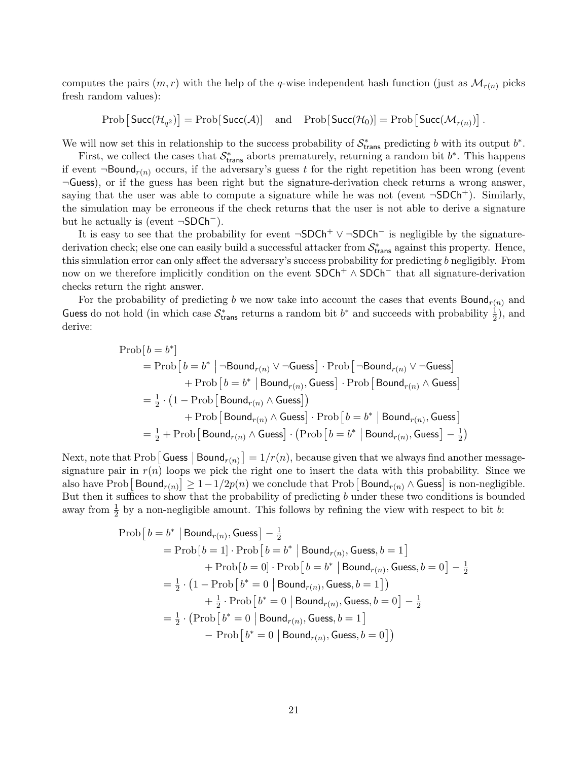computes the pairs  $(m, r)$  with the help of the q-wise independent hash function (just as  $\mathcal{M}_{r(n)}$  picks fresh random values):

$$
\operatorname{Prob}\left[\operatorname{\mathsf{Succ}}(\mathcal{H}_{q^2})\right] = \operatorname{Prob}\left[\operatorname{\mathsf{Succ}}(\mathcal{A})\right] \quad \text{and} \quad \operatorname{Prob}\left[\operatorname{\mathsf{Succ}}(\mathcal{H}_0)\right] = \operatorname{Prob}\left[\operatorname{\mathsf{Succ}}(\mathcal{M}_{r(n)})\right].
$$

We will now set this in relationship to the success probability of  $S_{trans}^*$  predicting b with its output  $b^*$ .

First, we collect the cases that  $S_{trans}^*$  aborts prematurely, returning a random bit  $b^*$ . This happens if event  $\neg$ Bound<sub>r(n)</sub> occurs, if the adversary's guess t for the right repetition has been wrong (event ¬Guess), or if the guess has been right but the signature-derivation check returns a wrong answer, saying that the user was able to compute a signature while he was not (event  $\neg SDCh^+$ ). Similarly, the simulation may be erroneous if the check returns that the user is not able to derive a signature but he actually is (event  $\neg$ SDCh<sup>-</sup>).

It is easy to see that the probability for event  $\neg$ SDCh<sup>+</sup> ∨  $\neg$ SDCh<sup>-</sup> is negligible by the signaturederivation check; else one can easily build a successful attacker from  $\mathcal{S}^*_{trans}$  against this property. Hence, this simulation error can only affect the adversary's success probability for predicting b negligibly. From now on we therefore implicitly condition on the event  $SDCh^+ \wedge SDCh^-$  that all signature-derivation checks return the right answer.

For the probability of predicting b we now take into account the cases that events Bound<sub>r(n)</sub> and Guess do not hold (in which case  $S_{trans}^*$  returns a random bit  $b^*$  and succeeds with probability  $\frac{1}{2}$ ), and derive:

$$
\begin{aligned} \text{Prob}\big[b=b^*\big] \\ & = \text{Prob}\big[b=b^*\big\vert\neg \text{Bound}_{r(n)} \vee \neg \text{Guess}\big]\cdot \text{Prob}\big[\neg \text{Bound}_{r(n)} \vee \neg \text{Guess}\big] \\ & + \text{Prob}\big[b=b^*\big\vert\text{Bound}_{r(n)},\text{Guess}\big]\cdot \text{Prob}\big[\text{Bound}_{r(n)} \wedge \text{Guess}\big] \\ & = \tfrac{1}{2}\cdot\big(1-\text{Prob}\big[\text{Bound}_{r(n)} \wedge \text{Guess}\big]\big) \\ & + \text{Prob}\big[\text{Bound}_{r(n)} \wedge \text{Guess}\big]\cdot \text{Prob}\big[b=b^*\big\vert\text{Bound}_{r(n)},\text{Guess}\big] \\ & = \tfrac{1}{2} + \text{Prob}\big[\text{Bound}_{r(n)} \wedge \text{Guess}\big]\cdot \big(\text{Prob}\big[b=b^*\big\vert\text{Bound}_{r(n)},\text{Guess}\big] - \tfrac{1}{2}\big) \end{aligned}
$$

Next, note that Prob $\left[\text{Guess} \mid \text{Bound}_{r(n)}\right] = 1/r(n)$ , because given that we always find another messagesignature pair in  $r(n)$  loops we pick the right one to insert the data with this probability. Since we also have Prob $\left[\text{Bound}_{r(n)}\right] \geq 1-1/2p(n)$  we conclude that Prob $\left[\text{Bound}_{r(n)} \wedge \text{Guess}\right]$  is non-negligible. But then it suffices to show that the probability of predicting b under these two conditions is bounded away from  $\frac{1}{2}$  by a non-negligible amount. This follows by refining the view with respect to bit b:

$$
\begin{aligned} \text{Prob}\left[\,b=b^*\;\left|\,\text{Bound}_{r(n)},\text{Guess}\,\right]-\tfrac{1}{2} \\&=\text{Prob}\left[\,b=1\right]\cdot\text{Prob}\left[\,b=b^*\;\left|\,\text{Bound}_{r(n)},\text{Guess},b=1\,\right.\right] \\&\quad+\text{Prob}\left[\,b=0\right]\cdot\text{Prob}\left[\,b=b^*\;\left|\,\text{Bound}_{r(n)},\text{Guess},b=0\,\right.\right]-\tfrac{1}{2} \\&=\tfrac{1}{2}\cdot\left(1-\text{Prob}\left[\,b^*=0\;\left|\,\text{Bound}_{r(n)},\text{Guess},b=1\,\right.\right]\right) \\&\quad+\tfrac{1}{2}\cdot\text{Prob}\left[\,b^*=0\;\left|\,\text{Bound}_{r(n)},\text{Guess},b=0\,\right.\right]-\tfrac{1}{2} \\&=\tfrac{1}{2}\cdot\left(\text{Prob}\left[\,b^*=0\;\left|\,\text{Bound}_{r(n)},\text{Guess},b=1\,\right.\right]\right. \\&\quad\left.-\text{Prob}\left[\,b^*=0\;\left|\,\text{Bound}_{r(n)},\text{Guess},b=0\,\right.\right]\right) \end{aligned}
$$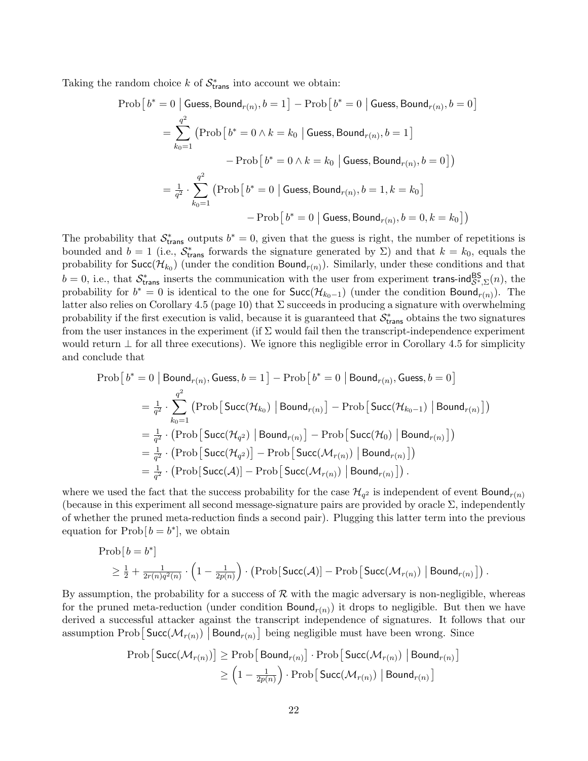Taking the random choice  $k$  of  $S_{\text{trans}}^*$  into account we obtain:

$$
\text{Prob}\left[b^* = 0 \mid \text{Guess}, \text{Bound}_{r(n)}, b = 1\right] - \text{Prob}\left[b^* = 0 \mid \text{Guess}, \text{Bound}_{r(n)}, b = 0\right]
$$
\n
$$
= \sum_{k_0=1}^{q^2} \left(\text{Prob}\left[b^* = 0 \land k = k_0 \mid \text{Guess}, \text{Bound}_{r(n)}, b = 1\right] - \text{Prob}\left[b^* = 0 \land k = k_0 \mid \text{Guess}, \text{Bound}_{r(n)}, b = 0\right]\right)
$$
\n
$$
= \frac{1}{q^2} \cdot \sum_{k_0=1}^{q^2} \left(\text{Prob}\left[b^* = 0 \mid \text{Guess}, \text{Bound}_{r(n)}, b = 1, k = k_0\right] - \text{Prob}\left[b^* = 0 \mid \text{Guess}, \text{Bound}_{r(n)}, b = 0, k = k_0\right]\right)
$$

The probability that  $S_{trans}^*$  outputs  $b^* = 0$ , given that the guess is right, the number of repetitions is bounded and  $b = 1$  (i.e.,  $S_{trans}^*$  forwards the signature generated by  $\Sigma$ ) and that  $k = k_0$ , equals the probability for  $\textsf{Succ}(\mathcal{H}_{k_0})$  (under the condition  $\textsf{Bound}_{r(n)}$ ). Similarly, under these conditions and that  $b = 0$ , i.e., that  $S_{\text{trans}}^*$  inserts the communication with the user from experiment trans-ind ${}_{S^*,\Sigma}^{\text{BS}}(n)$ , the probability for  $b^* = 0$  is identical to the one for  $\mathsf{Succ}(\mathcal{H}_{k_0-1})$  (under the condition Bound<sub>r(n)</sub>). The latter also relies on Corollary 4.5 (page 10) that  $\Sigma$  succeeds in producing a signature with overwhelming probability if the first execution is valid, because it is guaranteed that  $\mathcal{S}^*_{trans}$  obtains the two signatures from the user instances in the experiment (if  $\Sigma$  would fail then the transcript-independence experiment would return  $\perp$  for all three executions). We ignore this negligible error in Corollary 4.5 for simplicity and conclude that

$$
\begin{aligned} \text{Prob}\left[\,b^* = 0\,\,\big|\,\text{Bound}_{r(n)},\text{Guess},b = 1\,\right] - \text{Prob}\left[\,b^* = 0\,\,\big|\,\text{Bound}_{r(n)},\text{Guess},b = 0\,\right] \\ & = \tfrac{1}{q^2}\cdot\sum_{k_0=1}^{q^2}\left(\text{Prob}\left[\,\text{Succ}(\mathcal{H}_{k_0})\,\,\big|\,\text{Bound}_{r(n)}\,\right] - \text{Prob}\left[\,\text{Succ}(\mathcal{H}_{k_0-1})\,\,\big|\,\text{Bound}_{r(n)}\,\right]\right) \\ & = \tfrac{1}{q^2}\cdot\left(\text{Prob}\left[\,\text{Succ}(\mathcal{H}_{q^2})\,\,\big|\,\text{Bound}_{r(n)}\,\right] - \text{Prob}\left[\,\text{Succ}(\mathcal{H}_0)\,\,\big|\,\text{Bound}_{r(n)}\,\right]\right) \\ & = \tfrac{1}{q^2}\cdot\left(\text{Prob}\left[\,\text{Succ}(\mathcal{H}_{q^2})\right] - \text{Prob}\left[\,\text{Succ}(\mathcal{M}_{r(n)})\,\,\big|\,\text{Bound}_{r(n)}\,\right]\right) \\ & = \tfrac{1}{q^2}\cdot\left(\text{Prob}\left[\,\text{Succ}(\mathcal{A})\right] - \text{Prob}\left[\,\text{Succ}(\mathcal{M}_{r(n)})\,\,\big|\,\text{Bound}_{r(n)}\,\right]\right). \end{aligned}
$$

where we used the fact that the success probability for the case  $\mathcal{H}_{q^2}$  is independent of event Bound<sub> $r(n)$ </sub> (because in this experiment all second message-signature pairs are provided by oracle  $\Sigma$ , independently of whether the pruned meta-reduction finds a second pair). Plugging this latter term into the previous equation for  $\text{Prob}[b = b^*]$ , we obtain

$$
\begin{aligned} &\text{Prob}\big[b=b^*\big] \\ &\geq \tfrac{1}{2} + \tfrac{1}{2r(n)q^2(n)} \cdot \Big(1-\tfrac{1}{2p(n)}\Big) \cdot \big(\text{Prob}\big[\text{Succ}(\mathcal{A})\big] - \text{Prob}\big[\text{Succ}(\mathcal{M}_{r(n)}) \;\big|\; \text{Bound}_{r(n)}\big]\big)\,. \end{aligned}
$$

By assumption, the probability for a success of  $\mathcal R$  with the magic adversary is non-negligible, whereas for the pruned meta-reduction (under condition  $\mathsf{Bound}_{r(n)}$ ) it drops to negligible. But then we have derived a successful attacker against the transcript independence of signatures. It follows that our assumption Prob $\left[\right. \mathsf{Succ}(\mathcal{M}_{r(n)}) \mid \mathsf{Bound}_{r(n)} \right]$  being negligible must have been wrong. Since

$$
\text{Prob}\left[\text{Succ}(\mathcal{M}_{r(n)})\right] \ge \text{Prob}\left[\text{Bound}_{r(n)}\right] \cdot \text{Prob}\left[\text{Succ}(\mathcal{M}_{r(n)}) \mid \text{Bound}_{r(n)}\right] \\
\ge \left(1 - \frac{1}{2p(n)}\right) \cdot \text{Prob}\left[\text{Succ}(\mathcal{M}_{r(n)}) \mid \text{Bound}_{r(n)}\right]
$$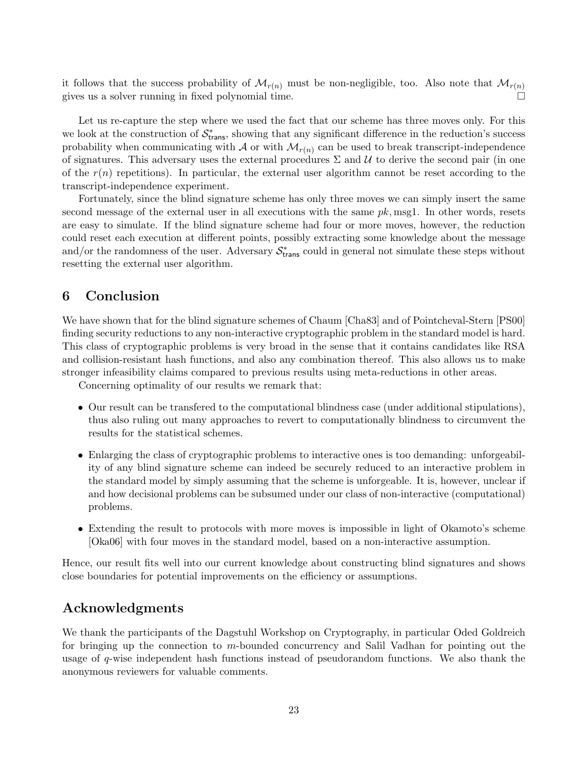it follows that the success probability of  $\mathcal{M}_{r(n)}$  must be non-negligible, too. Also note that  $\mathcal{M}_{r(n)}$ gives us a solver running in fixed polynomial time.

Let us re-capture the step where we used the fact that our scheme has three moves only. For this we look at the construction of  $S_{trans}^*$ , showing that any significant difference in the reduction's success probability when communicating with  $\mathcal{A}$  or with  $\mathcal{M}_{r(n)}$  can be used to break transcript-independence of signatures. This adversary uses the external procedures  $\Sigma$  and  $\mathcal U$  to derive the second pair (in one of the  $r(n)$  repetitions). In particular, the external user algorithm cannot be reset according to the transcript-independence experiment.

Fortunately, since the blind signature scheme has only three moves we can simply insert the same second message of the external user in all executions with the same  $pk$ , msg1. In other words, resets are easy to simulate. If the blind signature scheme had four or more moves, however, the reduction could reset each execution at different points, possibly extracting some knowledge about the message and/or the randomness of the user. Adversary  $S_{trans}^*$  could in general not simulate these steps without resetting the external user algorithm.

## 6 Conclusion

We have shown that for the blind signature schemes of Chaum [Cha83] and of Pointcheval-Stern [PS00] finding security reductions to any non-interactive cryptographic problem in the standard model is hard. This class of cryptographic problems is very broad in the sense that it contains candidates like RSA and collision-resistant hash functions, and also any combination thereof. This also allows us to make stronger infeasibility claims compared to previous results using meta-reductions in other areas.

Concerning optimality of our results we remark that:

- Our result can be transfered to the computational blindness case (under additional stipulations), thus also ruling out many approaches to revert to computationally blindness to circumvent the results for the statistical schemes.
- Enlarging the class of cryptographic problems to interactive ones is too demanding: unforgeability of any blind signature scheme can indeed be securely reduced to an interactive problem in the standard model by simply assuming that the scheme is unforgeable. It is, however, unclear if and how decisional problems can be subsumed under our class of non-interactive (computational) problems.
- Extending the result to protocols with more moves is impossible in light of Okamoto's scheme [Oka06] with four moves in the standard model, based on a non-interactive assumption.

Hence, our result fits well into our current knowledge about constructing blind signatures and shows close boundaries for potential improvements on the efficiency or assumptions.

## Acknowledgments

We thank the participants of the Dagstuhl Workshop on Cryptography, in particular Oded Goldreich for bringing up the connection to m-bounded concurrency and Salil Vadhan for pointing out the usage of  $q$ -wise independent hash functions instead of pseudorandom functions. We also thank the anonymous reviewers for valuable comments.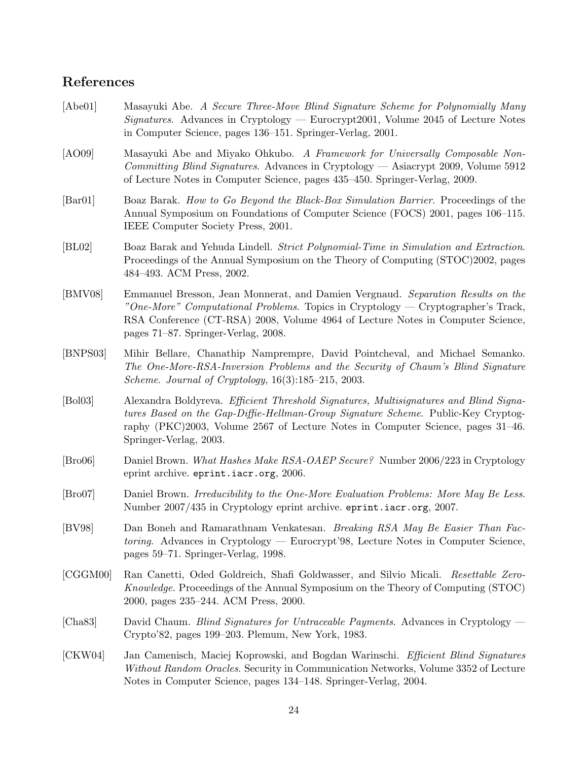## References

| [Abe01]                     | Masayuki Abe. A Secure Three-Move Blind Signature Scheme for Polynomially Many<br>$Signatures.$ Advances in Cryptology — Eurocrypt2001, Volume 2045 of Lecture Notes<br>in Computer Science, pages 136–151. Springer-Verlag, 2001.                                                            |  |  |  |
|-----------------------------|-----------------------------------------------------------------------------------------------------------------------------------------------------------------------------------------------------------------------------------------------------------------------------------------------|--|--|--|
| [AO09]                      | Masayuki Abe and Miyako Ohkubo. A Framework for Universally Composable Non-<br>Committing Blind Signatures. Advances in Cryptology — Asiacrypt 2009, Volume 5912<br>of Lecture Notes in Computer Science, pages 435–450. Springer-Verlag, 2009.                                               |  |  |  |
| $\left[\text{Bar}01\right]$ | Boaz Barak. How to Go Beyond the Black-Box Simulation Barrier. Proceedings of the<br>Annual Symposium on Foundations of Computer Science (FOCS) 2001, pages 106–115.<br>IEEE Computer Society Press, 2001.                                                                                    |  |  |  |
| BL02                        | Boaz Barak and Yehuda Lindell. Strict Polynomial-Time in Simulation and Extraction.<br>Proceedings of the Annual Symposium on the Theory of Computing (STOC)2002, pages<br>484–493. ACM Press, 2002.                                                                                          |  |  |  |
| [BMV08]                     | Emmanuel Bresson, Jean Monnerat, and Damien Vergnaud. Separation Results on the<br>"One-More" Computational Problems. Topics in Cryptology — Cryptographer's Track,<br>RSA Conference (CT-RSA) 2008, Volume 4964 of Lecture Notes in Computer Science,<br>pages 71–87. Springer-Verlag, 2008. |  |  |  |
| [BNPS03]                    | Mihir Bellare, Chanathip Namprempre, David Pointcheval, and Michael Semanko.<br>The One-More-RSA-Inversion Problems and the Security of Chaum's Blind Signature<br><i>Scheme. Journal of Cryptology</i> , $16(3):185-215$ , 2003.                                                             |  |  |  |
| [Bo103]                     | Alexandra Boldyreva. Efficient Threshold Signatures, Multisignatures and Blind Signa-<br>tures Based on the Gap-Diffie-Hellman-Group Signature Scheme. Public-Key Cryptog-<br>raphy (PKC)2003, Volume 2567 of Lecture Notes in Computer Science, pages 31–46.<br>Springer-Verlag, 2003.       |  |  |  |
| [Bro06]                     | Daniel Brown. What Hashes Make RSA-OAEP Secure? Number 2006/223 in Cryptology<br>eprint archive. eprint.iacr.org, 2006.                                                                                                                                                                       |  |  |  |
| $\left[\text{Bro07}\right]$ | Daniel Brown. Irreducibility to the One-More Evaluation Problems: More May Be Less.<br>Number 2007/435 in Cryptology eprint archive. eprint.iacr.org, 2007.                                                                                                                                   |  |  |  |
| $[$ BV98]                   | Dan Boneh and Ramarathnam Venkatesan. Breaking RSA May Be Easier Than Fac-<br><i>toring.</i> Advances in Cryptology — Eurocrypt'98, Lecture Notes in Computer Science,<br>pages 59–71. Springer-Verlag, 1998.                                                                                 |  |  |  |
| [CGGM00]                    | Ran Canetti, Oded Goldreich, Shafi Goldwasser, and Silvio Micali. Resettable Zero-<br><i>Knowledge.</i> Proceedings of the Annual Symposium on the Theory of Computing (STOC)<br>2000, pages 235–244. ACM Press, 2000.                                                                        |  |  |  |
| [Cha83]                     | David Chaum. Blind Signatures for Untraceable Payments. Advances in Cryptology —<br>Crypto'82, pages 199–203. Plemum, New York, 1983.                                                                                                                                                         |  |  |  |
| [CKW04]                     | Jan Camenisch, Maciej Koprowski, and Bogdan Warinschi. Efficient Blind Signatures<br>Without Random Oracles. Security in Communication Networks, Volume 3352 of Lecture<br>Notes in Computer Science, pages 134-148. Springer-Verlag, 2004.                                                   |  |  |  |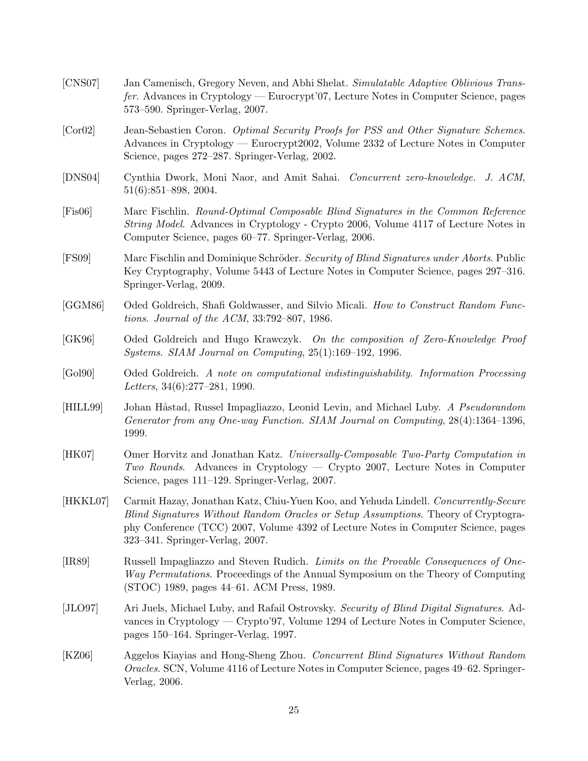| [CNS07]         | Jan Camenisch, Gregory Neven, and Abhi Shelat. Simulatable Adaptive Oblivious Trans-<br>fer. Advances in Cryptology — Eurocrypt'07, Lecture Notes in Computer Science, pages<br>573-590. Springer-Verlag, 2007.                                                                                    |  |  |
|-----------------|----------------------------------------------------------------------------------------------------------------------------------------------------------------------------------------------------------------------------------------------------------------------------------------------------|--|--|
| [Cor02]         | Jean-Sebastien Coron. Optimal Security Proofs for PSS and Other Signature Schemes.<br>Advances in Cryptology — Eurocrypt $2002$ , Volume $2332$ of Lecture Notes in Computer<br>Science, pages 272–287. Springer-Verlag, 2002.                                                                     |  |  |
| [DNS04]         | Cynthia Dwork, Moni Naor, and Amit Sahai. Concurrent zero-knowledge. J. ACM,<br>$51(6):851-898, 2004.$                                                                                                                                                                                             |  |  |
| $[{\rm Fis}06]$ | Marc Fischlin. Round-Optimal Composable Blind Signatures in the Common Reference<br><i>String Model.</i> Advances in Cryptology - Crypto 2006, Volume 4117 of Lecture Notes in<br>Computer Science, pages 60–77. Springer-Verlag, 2006.                                                            |  |  |
| [FS09]          | Marc Fischlin and Dominique Schröder. Security of Blind Signatures under Aborts. Public<br>Key Cryptography, Volume 5443 of Lecture Notes in Computer Science, pages 297-316.<br>Springer-Verlag, 2009.                                                                                            |  |  |
| [GGM86]         | Oded Goldreich, Shafi Goldwasser, and Silvio Micali. How to Construct Random Func-<br>tions. Journal of the ACM, 33:792-807, 1986.                                                                                                                                                                 |  |  |
| [GK96]          | Oded Goldreich and Hugo Krawczyk. On the composition of Zero-Knowledge Proof<br>Systems. SIAM Journal on Computing, 25(1):169-192, 1996.                                                                                                                                                           |  |  |
| [Gol90]         | Oded Goldreich. A note on computational indistinguishability. Information Processing<br><i>Letters</i> , $34(6):277-281$ , 1990.                                                                                                                                                                   |  |  |
| [HILL99]        | Johan Håstad, Russel Impagliazzo, Leonid Levin, and Michael Luby. A Pseudorandom<br>Generator from any One-way Function. SIAM Journal on Computing, 28(4):1364-1396,<br>1999.                                                                                                                      |  |  |
| [HK07]          | Omer Horvitz and Jonathan Katz. Universally-Composable Two-Party Computation in<br>Two Rounds. Advances in Cryptology — Crypto 2007, Lecture Notes in Computer<br>Science, pages 111–129. Springer-Verlag, 2007.                                                                                   |  |  |
| [HKKL07]        | Carmit Hazay, Jonathan Katz, Chiu-Yuen Koo, and Yehuda Lindell. Concurrently-Secure<br>Blind Signatures Without Random Oracles or Setup Assumptions. Theory of Cryptogra-<br>phy Conference (TCC) 2007, Volume 4392 of Lecture Notes in Computer Science, pages<br>323–341. Springer-Verlag, 2007. |  |  |
| [IR89]          | Russell Impagliazzo and Steven Rudich. Limits on the Provable Consequences of One-<br><i>Way Permutations.</i> Proceedings of the Annual Symposium on the Theory of Computing<br>(STOC) 1989, pages 44–61. ACM Press, 1989.                                                                        |  |  |
| [JLO97]         | Ari Juels, Michael Luby, and Rafail Ostrovsky. Security of Blind Digital Signatures. Ad-<br>vances in Cryptology — Crypto'97, Volume 1294 of Lecture Notes in Computer Science,<br>pages 150–164. Springer-Verlag, 1997.                                                                           |  |  |
| [KZ06]          | Aggelos Kiayias and Hong-Sheng Zhou. Concurrent Blind Signatures Without Random<br>Oracles. SCN, Volume 4116 of Lecture Notes in Computer Science, pages 49–62. Springer-<br>Verlag, 2006.                                                                                                         |  |  |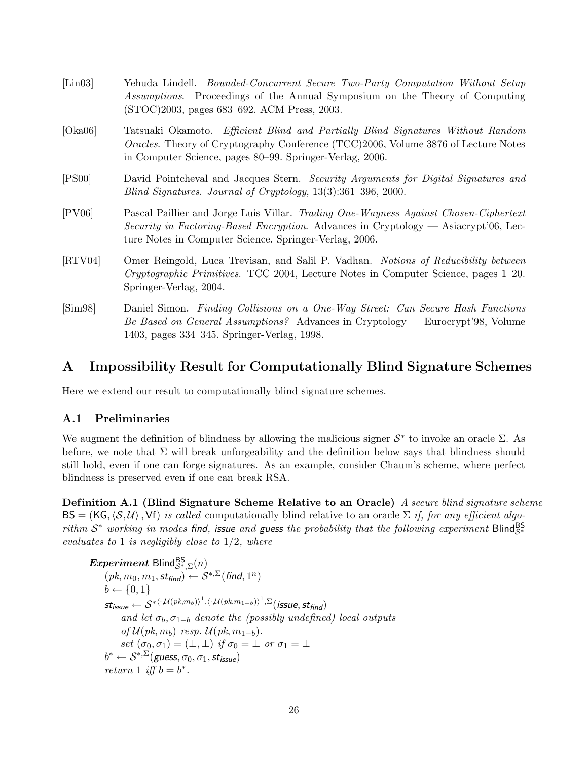| [Lin03]                        | Yehuda Lindell. Bounded-Concurrent Secure Two-Party Computation Without Setup<br>Assumptions. Proceedings of the Annual Symposium on the Theory of Computing<br>(STOC)2003, pages 683–692. ACM Press, 2003.                                  |  |  |
|--------------------------------|----------------------------------------------------------------------------------------------------------------------------------------------------------------------------------------------------------------------------------------------|--|--|
| [Oka06]                        | Tatsuaki Okamoto. Efficient Blind and Partially Blind Signatures Without Random<br><i>Oracles.</i> Theory of Cryptography Conference (TCC) 2006, Volume 3876 of Lecture Notes<br>in Computer Science, pages 80–99. Springer-Verlag, 2006.    |  |  |
| [PS00]                         | David Pointcheval and Jacques Stern. Security Arguments for Digital Signatures and<br>Blind Signatures. Journal of Cryptology, 13(3):361–396, 2000.                                                                                          |  |  |
| [PV06]                         | Pascal Paillier and Jorge Luis Villar. Trading One-Wayness Against Chosen-Ciphertext<br><i>Security in Factoring-Based Encryption.</i> Advances in Cryptology — Asiacrypt'06, Lec-<br>ture Notes in Computer Science. Springer-Verlag, 2006. |  |  |
| $\left[\text{RTV04}\right]$    | Omer Reingold, Luca Trevisan, and Salil P. Vadhan. Notions of Reducibility between<br>Cryptographic Primitives. TCC 2004, Lecture Notes in Computer Science, pages 1–20.<br>Springer-Verlag, 2004.                                           |  |  |
| $\lbrack \text{Sim98} \rbrack$ | Daniel Simon. Finding Collisions on a One-Way Street: Can Secure Hash Functions<br>Be Based on General Assumptions? Advances in Cryptology — Eurocrypt'98, Volume<br>1403, pages 334–345. Springer-Verlag, 1998.                             |  |  |

## A Impossibility Result for Computationally Blind Signature Schemes

Here we extend our result to computationally blind signature schemes.

#### A.1 Preliminaries

We augment the definition of blindness by allowing the malicious signer  $S^*$  to invoke an oracle  $\Sigma$ . As before, we note that  $\Sigma$  will break unforgeability and the definition below says that blindness should still hold, even if one can forge signatures. As an example, consider Chaum's scheme, where perfect blindness is preserved even if one can break RSA.

**Definition A.1 (Blind Signature Scheme Relative to an Oracle)** A secure blind signature scheme  $BS = (KG, \langle S, U \rangle, Vf)$  is called computationally blind relative to an oracle  $\Sigma$  if, for any efficient algorithm  $S^*$  working in modes find, issue and guess the probability that the following experiment Blind $S^*$ evaluates to  $1$  is negligibly close to  $1/2$ , where

**Experiment** Blind<sup>BS</sup><sub>S\*,\Sigma</sub>(n)  
\n
$$
(pk, m_0, m_1, st_{find}) \leftarrow S^{*,\Sigma}(\text{find}, 1^n)
$$
  
\n $b \leftarrow \{0, 1\}$   
\n $st_{issue} \leftarrow S^{*(\cdot, \mathcal{U}(pk, m_b))^\mathbf{1}, \langle \cdot, \mathcal{U}(pk, m_{1-b}) \rangle^\mathbf{1}, \Sigma}(\text{issue}, st_{find})$   
\nand let  $\sigma_b, \sigma_{1-b}$  denote the (possibly undefined) local outputs  
\nof  $\mathcal{U}(pk, m_b)$  resp.  $\mathcal{U}(pk, m_{1-b})$ .  
\nset  $(\sigma_0, \sigma_1) = (\bot, \bot)$  if  $\sigma_0 = \bot$  or  $\sigma_1 = \bot$   
\n $b^* \leftarrow S^{*,\Sigma}(\text{guess}, \sigma_0, \sigma_1, st_{issue})$   
\nreturn 1 iff  $b = b^*$ .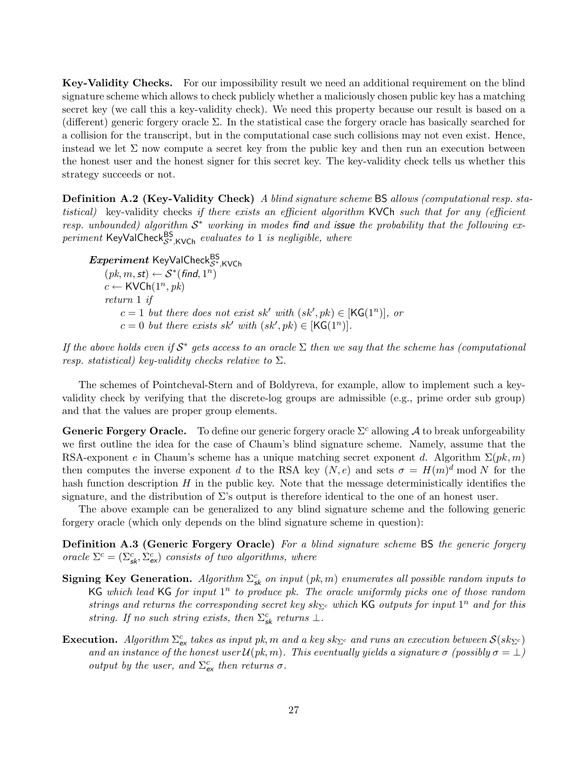Key-Validity Checks. For our impossibility result we need an additional requirement on the blind signature scheme which allows to check publicly whether a maliciously chosen public key has a matching secret key (we call this a key-validity check). We need this property because our result is based on a (different) generic forgery oracle  $\Sigma$ . In the statistical case the forgery oracle has basically searched for a collision for the transcript, but in the computational case such collisions may not even exist. Hence, instead we let  $\Sigma$  now compute a secret key from the public key and then run an execution between the honest user and the honest signer for this secret key. The key-validity check tells us whether this strategy succeeds or not.

**Definition A.2 (Key-Validity Check)** A blind signature scheme BS allows (computational resp. statistical) key-validity checks if there exists an efficient algorithm KVCh such that for any (efficient resp. unbounded) algorithm  $S^*$  working in modes find and issue the probability that the following ex $periment$  KeyValCheck $S^s$ , KVCh evaluates to 1 is negligible, where

 $Experiment$  KeyValCheck $^{\text{BS}}_{\mathcal{S}^*,\text{KVCh}}$  $(pk, m, st) \leftarrow S^*(\text{find}, 1^n)$  $c \leftarrow$  KVCh $(1^n, pk)$ return 1 if  $c = 1$  but there does not exist sk' with  $(sk', pk) \in [KG(1^n)]$ , or  $c = 0$  but there exists sk' with  $(sk', pk) \in [KG(1^n)]$ .

If the above holds even if  $S^*$  gets access to an oracle  $\Sigma$  then we say that the scheme has (computational resp. statistical) key-validity checks relative to  $\Sigma$ .

The schemes of Pointcheval-Stern and of Boldyreva, for example, allow to implement such a keyvalidity check by verifying that the discrete-log groups are admissible (e.g., prime order sub group) and that the values are proper group elements.

**Generic Forgery Oracle.** To define our generic forgery oracle  $\Sigma^c$  allowing A to break unforgeability we first outline the idea for the case of Chaum's blind signature scheme. Namely, assume that the RSA-exponent e in Chaum's scheme has a unique matching secret exponent d. Algorithm  $\Sigma(pk,m)$ then computes the inverse exponent d to the RSA key  $(N, e)$  and sets  $\sigma = H(m)^d \mod N$  for the hash function description  $H$  in the public key. Note that the message deterministically identifies the signature, and the distribution of  $\Sigma$ 's output is therefore identical to the one of an honest user.

The above example can be generalized to any blind signature scheme and the following generic forgery oracle (which only depends on the blind signature scheme in question):

Definition A.3 (Generic Forgery Oracle) For a blind signature scheme BS the generic forgery oracle  $\Sigma^c = (\Sigma^c_{\mathsf{sk}}, \Sigma^c_{\mathsf{ex}})$  consists of two algorithms, where

- Signing Key Generation. Algorithm  $\Sigma_{sk}^c$  on input  $(pk, m)$  enumerates all possible random inputs to KG which lead KG for input  $1^n$  to produce pk. The oracle uniformly picks one of those random strings and returns the corresponding secret key  $sk_{\Sigma^c}$  which KG outputs for input  $1^n$  and for this string. If no such string exists, then  $\Sigma_{\mathsf{sk}}^c$  returns  $\bot$ .
- **Execution.** Algorithm  $\Sigma_{ex}^c$  takes as input pk, m and a key sk<sub> $\Sigma^c$ </sub> and runs an execution between  $S(sk_{\Sigma^c})$ and an instance of the honest user  $\mathcal{U}(pk, m)$ . This eventually yields a signature  $\sigma$  (possibly  $\sigma = \bot$ ) output by the user, and  $\Sigma_{\mathsf{ex}}^c$  then returns  $\sigma$ .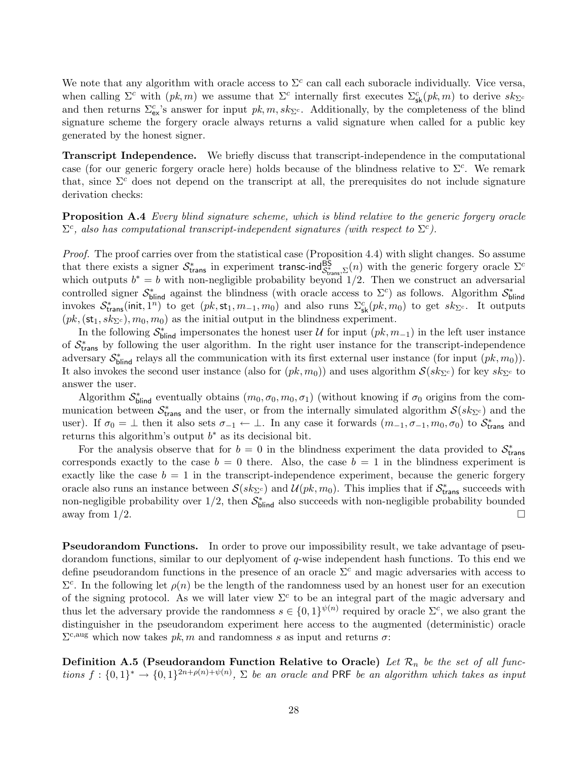We note that any algorithm with oracle access to  $\Sigma^c$  can call each suboracle individually. Vice versa, when calling  $\Sigma^c$  with  $(pk, m)$  we assume that  $\Sigma^c$  internally first executes  $\Sigma^c_{sk}(pk, m)$  to derive  $sk_{\Sigma^c}$ and then returns  $\Sigma_{\mathsf{ex}}^c$ 's answer for input  $pk, m, sk_{\Sigma^c}$ . Additionally, by the completeness of the blind signature scheme the forgery oracle always returns a valid signature when called for a public key generated by the honest signer.

**Transcript Independence.** We briefly discuss that transcript-independence in the computational case (for our generic forgery oracle here) holds because of the blindness relative to  $\Sigma^c$ . We remark that, since  $\Sigma^c$  does not depend on the transcript at all, the prerequisites do not include signature derivation checks:

**Proposition A.4** Every blind signature scheme, which is blind relative to the generic forgery oracle  $\Sigma^c$ , also has computational transcript-independent signatures (with respect to  $\Sigma^c$ ).

Proof. The proof carries over from the statistical case (Proposition 4.4) with slight changes. So assume that there exists a signer  $S_{trans}^*$  in experiment transc-ind $S_{trans, \Sigma}^{BS}(n)$  with the generic forgery oracle  $\Sigma_c^c$ which outputs  $b^* = b$  with non-negligible probability beyond 1/2. Then we construct an adversarial controlled signer  $S^*_{\text{blind}}$  against the blindness (with oracle access to  $\Sigma^c$ ) as follows. Algorithm  $S^*_{\text{blind}}$ invokes  $S_{trans}^*$ (init, 1<sup>n</sup>) to get  $(pk, st_1, m_{-1}, m_0)$  and also runs  $\Sigma_{sk}^c(pk, m_0)$  to get  $sk_{\Sigma^c}$ . It outputs  $(pk, (st_1, sk_{\Sigma^c}), m_0, m_0)$  as the initial output in the blindness experiment.

In the following  $\mathcal{S}_{\text{blind}}^*$  impersonates the honest user U for input  $(pk, m_{-1})$  in the left user instance of  $S_{trans}^*$  by following the user algorithm. In the right user instance for the transcript-independence adversary  $S^*_{\text{blind}}$  relays all the communication with its first external user instance (for input  $(pk, m_0)$ ). It also invokes the second user instance (also for  $(pk, m_0)$ ) and uses algorithm  $S(sk_{\Sigma^c})$  for key  $sk_{\Sigma^c}$  to answer the user.

Algorithm  $S_{\text{blind}}^*$  eventually obtains  $(m_0, \sigma_0, m_0, \sigma_1)$  (without knowing if  $\sigma_0$  origins from the communication between  $S_{\text{trans}}^*$  and the user, or from the internally simulated algorithm  $S(s k_{\Sigma^c})$  and the user). If  $\sigma_0 = \perp$  then it also sets  $\sigma_{-1} \leftarrow \perp$ . In any case it forwards  $(m_{-1}, \sigma_{-1}, m_0, \sigma_0)$  to  $\mathcal{S}_{\text{trans}}^*$  and returns this algorithm's output  $b^*$  as its decisional bit.

For the analysis observe that for  $b = 0$  in the blindness experiment the data provided to  $S_{trans}^*$ corresponds exactly to the case  $b = 0$  there. Also, the case  $b = 1$  in the blindness experiment is exactly like the case  $b = 1$  in the transcript-independence experiment, because the generic forgery oracle also runs an instance between  $S(sk_{\Sigma^c})$  and  $\mathcal{U}(pk, m_0)$ . This implies that if  $\mathcal{S}^*_{trans}$  succeeds with non-negligible probability over  $1/2$ , then  $S^*_{\text{blind}}$  also succeeds with non-negligible probability bounded away from  $1/2$ .

**Pseudorandom Functions.** In order to prove our impossibility result, we take advantage of pseudorandom functions, similar to our deplyoment of q-wise independent hash functions. To this end we define pseudorandom functions in the presence of an oracle  $\Sigma^c$  and magic adversaries with access to  $\Sigma^c$ . In the following let  $\rho(n)$  be the length of the randomness used by an honest user for an execution of the signing protocol. As we will later view  $\Sigma^c$  to be an integral part of the magic adversary and thus let the adversary provide the randomness  $s \in \{0,1\}^{\psi(n)}$  required by oracle  $\Sigma^c$ , we also grant the distinguisher in the pseudorandom experiment here access to the augmented (deterministic) oracle  $\Sigma^{\text{c,aug}}$  which now takes  $pk, m$  and randomness s as input and returns  $\sigma$ :

**Definition A.5 (Pseudorandom Function Relative to Oracle)** Let  $\mathcal{R}_n$  be the set of all functions  $f: \{0,1\}^* \to \{0,1\}^{2n+\rho(n)+\psi(n)}$ ,  $\Sigma$  be an oracle and PRF be an algorithm which takes as input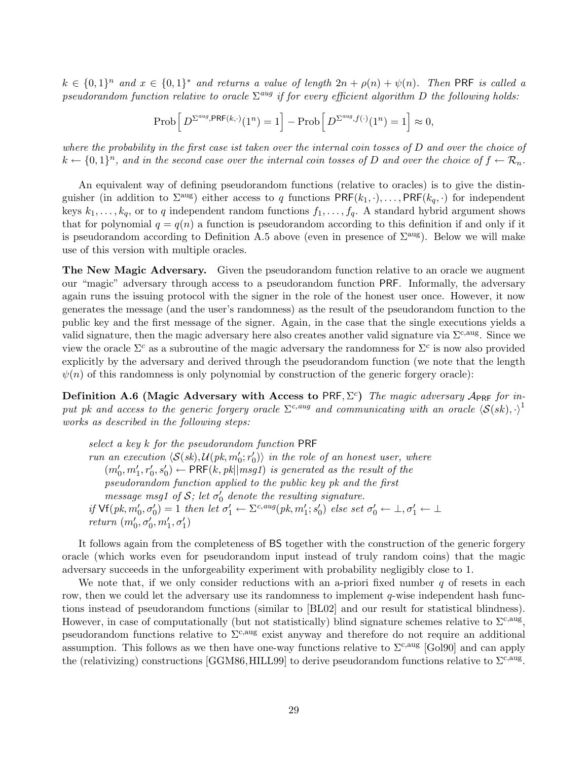$k \in \{0,1\}^n$  and  $x \in \{0,1\}^*$  and returns a value of length  $2n + \rho(n) + \psi(n)$ . Then PRF is called a pseudorandom function relative to oracle  $\Sigma^{aug}$  if for every efficient algorithm D the following holds:

$$
\operatorname{Prob}\left[D^{\sum^{aug}, \mathsf{PRF}(k,\cdot)}(1^n) = 1\right] - \operatorname{Prob}\left[D^{\sum^{aug}, f(\cdot)}(1^n) = 1\right] \approx 0,
$$

where the probability in the first case ist taken over the internal coin tosses of D and over the choice of  $k \leftarrow \{0,1\}^n$ , and in the second case over the internal coin tosses of D and over the choice of  $f \leftarrow \mathcal{R}_n$ .

An equivalent way of defining pseudorandom functions (relative to oracles) is to give the distinguisher (in addition to  $\Sigma^{\text{aug}}$ ) either access to q functions  $\text{PRF}(k_1, \cdot), \ldots, \text{PRF}(k_q, \cdot)$  for independent keys  $k_1, \ldots, k_q$ , or to q independent random functions  $f_1, \ldots, f_q$ . A standard hybrid argument shows that for polynomial  $q = q(n)$  a function is pseudorandom according to this definition if and only if it is pseudorandom according to Definition A.5 above (even in presence of  $\Sigma^{\text{aug}}$ ). Below we will make use of this version with multiple oracles.

The New Magic Adversary. Given the pseudorandom function relative to an oracle we augment our "magic" adversary through access to a pseudorandom function PRF. Informally, the adversary again runs the issuing protocol with the signer in the role of the honest user once. However, it now generates the message (and the user's randomness) as the result of the pseudorandom function to the public key and the first message of the signer. Again, in the case that the single executions yields a valid signature, then the magic adversary here also creates another valid signature via  $\Sigma^{\text{c,aug}}$ . Since we view the oracle  $\Sigma^c$  as a subroutine of the magic adversary the randomness for  $\Sigma^c$  is now also provided explicitly by the adversary and derived through the pseudorandom function (we note that the length  $\psi(n)$  of this randomness is only polynomial by construction of the generic forgery oracle):

Definition A.6 (Magic Adversary with Access to PRF,  $\Sigma^c$ ) The magic adversary  $\mathcal{A}_{\text{PRF}}$  for input pk and access to the generic forgery oracle  $\Sigma^{c,aug}$  and communicating with an oracle  $\langle S(sk), \cdot \rangle^1$ works as described in the following steps:

select a key k for the pseudorandom function PRF run an execution  $\langle S(sk), \mathcal{U}(pk, m_0'; r_0') \rangle$  in the role of an honest user, where  $(m'_0, m'_1, r'_0, s'_0) \leftarrow \mathsf{PRF}(k, pk||msg1)$  is generated as the result of the pseudorandom function applied to the public key pk and the first message msg1 of S; let  $\sigma'_0$  denote the resulting signature. *if*  $Vf(pk, m'_0, \sigma'_0) = 1$  then let  $\sigma'_1 \leftarrow \sum^{c, aug}(pk, m'_1; s'_0)$  else set  $\sigma'_0 \leftarrow \bot, \sigma'_1 \leftarrow \bot$  $return (m'_0, \sigma'_0, m'_1, \sigma'_1)$ 

It follows again from the completeness of BS together with the construction of the generic forgery oracle (which works even for pseudorandom input instead of truly random coins) that the magic adversary succeeds in the unforgeability experiment with probability negligibly close to 1.

We note that, if we only consider reductions with an a-priori fixed number  $q$  of resets in each row, then we could let the adversary use its randomness to implement  $q$ -wise independent hash functions instead of pseudorandom functions (similar to [BL02] and our result for statistical blindness). However, in case of computationally (but not statistically) blind signature schemes relative to  $\Sigma^{\text{c,aug}}$ , pseudorandom functions relative to  $\Sigma^{\text{c,aug}}$  exist anyway and therefore do not require an additional assumption. This follows as we then have one-way functions relative to  $\Sigma^{\text{c,aug}}$  [Gol90] and can apply the (relativizing) constructions [GGM86, HILL99] to derive pseudorandom functions relative to  $\Sigma^{\text{c,aug}}$ .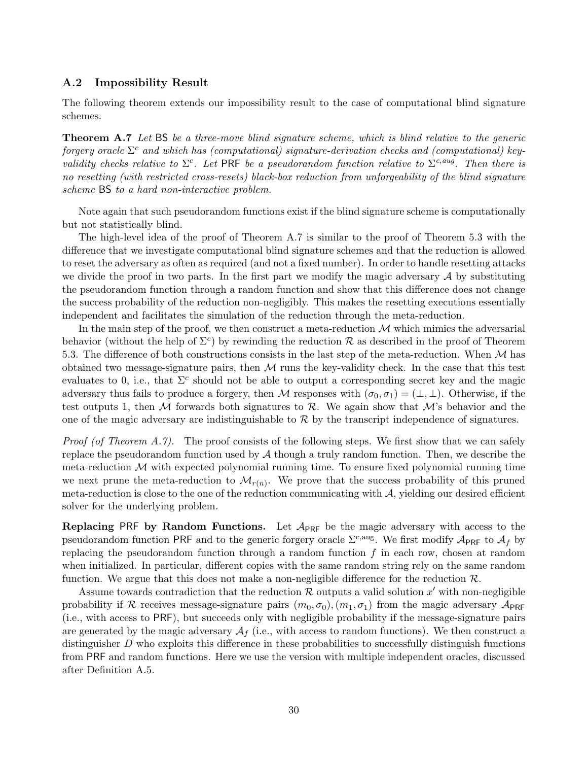#### A.2 Impossibility Result

The following theorem extends our impossibility result to the case of computational blind signature schemes.

**Theorem A.7** Let BS be a three-move blind signature scheme, which is blind relative to the generic forgery oracle  $\Sigma^c$  and which has (computational) signature-derivation checks and (computational) keyvalidity checks relative to  $\Sigma^c$ . Let PRF be a pseudorandom function relative to  $\Sigma^{c,aug}$ . Then there is no resetting (with restricted cross-resets) black-box reduction from unforgeability of the blind signature scheme BS to a hard non-interactive problem.

Note again that such pseudorandom functions exist if the blind signature scheme is computationally but not statistically blind.

The high-level idea of the proof of Theorem A.7 is similar to the proof of Theorem 5.3 with the difference that we investigate computational blind signature schemes and that the reduction is allowed to reset the adversary as often as required (and not a fixed number). In order to handle resetting attacks we divide the proof in two parts. In the first part we modify the magic adversary  $\mathcal A$  by substituting the pseudorandom function through a random function and show that this difference does not change the success probability of the reduction non-negligibly. This makes the resetting executions essentially independent and facilitates the simulation of the reduction through the meta-reduction.

In the main step of the proof, we then construct a meta-reduction  $\mathcal M$  which mimics the adversarial behavior (without the help of  $\Sigma^c$ ) by rewinding the reduction R as described in the proof of Theorem 5.3. The difference of both constructions consists in the last step of the meta-reduction. When  $\mathcal M$  has obtained two message-signature pairs, then  $\mathcal M$  runs the key-validity check. In the case that this test evaluates to 0, i.e., that  $\Sigma^c$  should not be able to output a corresponding secret key and the magic adversary thus fails to produce a forgery, then M responses with  $(\sigma_0, \sigma_1) = (\perp, \perp)$ . Otherwise, if the test outputs 1, then M forwards both signatures to R. We again show that  $\mathcal{M}$ 's behavior and the one of the magic adversary are indistinguishable to  $R$  by the transcript independence of signatures.

*Proof (of Theorem A.7).* The proof consists of the following steps. We first show that we can safely replace the pseudorandom function used by  $A$  though a truly random function. Then, we describe the meta-reduction  $\mathcal M$  with expected polynomial running time. To ensure fixed polynomial running time we next prune the meta-reduction to  $\mathcal{M}_{r(n)}$ . We prove that the success probability of this pruned meta-reduction is close to the one of the reduction communicating with  $\mathcal{A}$ , yielding our desired efficient solver for the underlying problem.

**Replacing PRF by Random Functions.** Let  $A_{PRF}$  be the magic adversary with access to the pseudorandom function PRF and to the generic forgery oracle  $\Sigma^{\text{c,aug}}$ . We first modify  $\mathcal{A}_{PRF}$  to  $\mathcal{A}_f$  by replacing the pseudorandom function through a random function  $f$  in each row, chosen at random when initialized. In particular, different copies with the same random string rely on the same random function. We argue that this does not make a non-negligible difference for the reduction  $\mathcal{R}$ .

Assume towards contradiction that the reduction  $\mathcal R$  outputs a valid solution  $x'$  with non-negligible probability if R receives message-signature pairs  $(m_0, \sigma_0), (m_1, \sigma_1)$  from the magic adversary  $\mathcal{A}_{\text{PRF}}$ (i.e., with access to PRF), but succeeds only with negligible probability if the message-signature pairs are generated by the magic adversary  $\mathcal{A}_f$  (i.e., with access to random functions). We then construct a distinguisher  $D$  who exploits this difference in these probabilities to successfully distinguish functions from PRF and random functions. Here we use the version with multiple independent oracles, discussed after Definition A.5.